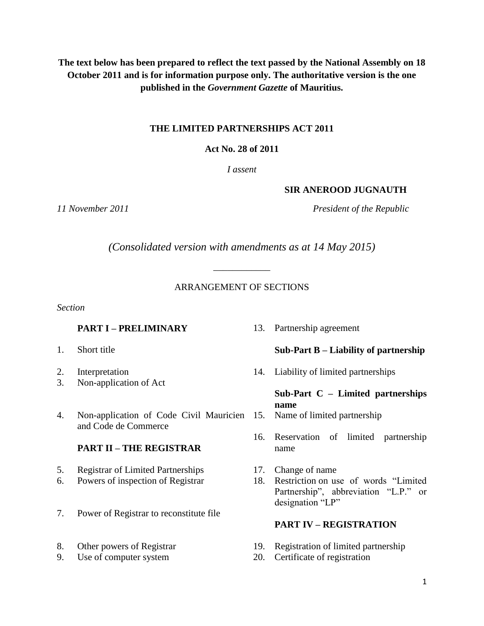**The text below has been prepared to reflect the text passed by the National Assembly on 18 October 2011 and is for information purpose only. The authoritative version is the one published in the** *Government Gazette* **of Mauritius.**

## **THE LIMITED PARTNERSHIPS ACT 2011**

## **Act No. 28 of 2011**

*I assent*

## **SIR ANEROOD JUGNAUTH**

*11 November 2011 President of the Republic*

*(Consolidated version with amendments as at 14 May 2015)*

*\_\_\_\_\_\_\_\_\_\_\_\_*

## ARRANGEMENT OF SECTIONS

*Section*

## **PART I – PRELIMINARY** 13. Partnership agreement

- 
- 
- 3. Non-application of Act
- 4. Non-application of Code Civil Mauricien 15. Name of limited partnership and Code de Commerce

## **PART II – THE REGISTRAR**

- 5. Registrar of Limited Partnerships 17. Change of name
- 
- 7. Power of Registrar to reconstitute file
- 
- 

## 1. Short title **Sub-Part B – Liability of partnership**

2. Interpretation 14. Liability of limited partnerships

#### **Sub-Part C – Limited partnerships name**

- 
- 16. Reservation of limited partnership name
- 
- 6. Powers of inspection of Registrar 18. Restriction on use of words "Limited Partnership", abbreviation "L.P." or designation "LP"

## **PART IV – REGISTRATION**

- 8. Other powers of Registrar 19. Registration of limited partnership
- 9. Use of computer system 20. Certificate of registration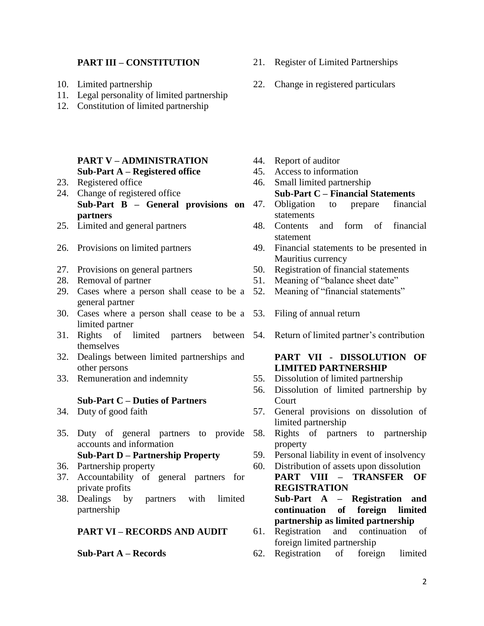- 
- 11. Legal personality of limited partnership
- 12. Constitution of limited partnership

#### **PART V – ADMINISTRATION** 44. Report of auditor<br> **Sub-Part A – Registered office** 45. Access to information **Sub-Part A – Registered office**

- 
- 24. Change of registered office **Sub-Part C – Financial Statements Sub-Part B – General provisions on partners**
- 
- 
- 
- 
- 29. Cases where a person shall cease to be a general partner
- 30. Cases where a person shall cease to be a 53. Filing of annual return limited partner
- 31. Rights of limited partners between 54. Return of limited partner's contribution themselves
- 32. Dealings between limited partnerships and other persons
- 

#### **Sub-Part C – Duties of Partners**

- 
- 35. Duty of general partners to provide accounts and information

- 
- 37. Accountability of general partners for private profits
- 38. Dealings by partners with limited partnership

#### **PART VI – RECORDS AND AUDIT** 61. Registration and continuation of

- 
- 
- 23. Registered office 46. Small limited partnership
	-
	- 47. Obligation to prepare financial statements
- 25. Limited and general partners 48. Contents and form of financial statement
- 26. Provisions on limited partners 49. Financial statements to be presented in Mauritius currency
- 27. Provisions on general partners 50. Registration of financial statements<br>28. Removal of partner 51. Meaning of "balance sheet date"
	- 51. Meaning of "balance sheet date"
	- Meaning of "financial statements"
	-
	-

## **PART VII - DISSOLUTION OF LIMITED PARTNERSHIP**

- 33. Remuneration and indemnity 55. Dissolution of limited partnership
	- 56. Dissolution of limited partnership by Court
- 34. Duty of good faith 57. General provisions on dissolution of limited partnership
	- Rights of partners to partnership property
	- **Sub-Part D – Partnership Property** 59. Personal liability in event of insolvency
- 36. Partnership property 60. Distribution of assets upon dissolution
	- **PART VIII – TRANSFER OF REGISTRATION**

**Sub-Part A – Registration and continuation of foreign limited partnership as limited partnership**

- foreign limited partnership<br>62. Registration of foreign
- **Sub-Part A Records** 62. Registration of foreign limited
- **PART III – CONSTITUTION** 21. Register of Limited Partnerships
- 10. Limited partnership 22. Change in registered particulars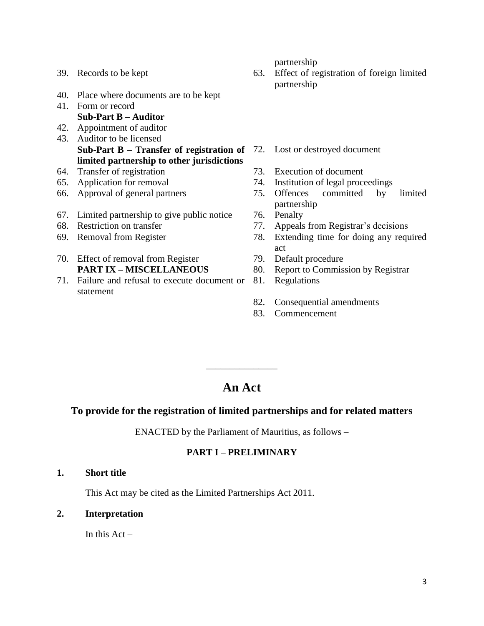- 40. Place where documents are to be kept
- 41. Form or record **Sub-Part B – Auditor**
- 42. Appointment of auditor 43. Auditor to be licensed **Sub-Part B – Transfer of registration of**  72. Lost or destroyed document **limited partnership to other jurisdictions**
- 64. Transfer of registration 73. Execution of document
- 
- 
- 67. Limited partnership to give public notice 76. Penalty
- 
- 
- 70. Effect of removal from Register 79. Default procedure **PART IX – MISCELLANEOUS** 80. Report to Commission by Registrar
- 71. Failure and refusal to execute document or statement

partnership

- 39. Records to be kept 63. Effect of registration of foreign limited partnership
	-
	-
- 65. Application for removal 74. Institution of legal proceedings
- 66. Approval of general partners 75. Offences committed by limited partnership
	-
- 68. Restriction on transfer 77. Appeals from Registrar's decisions
- 69. Removal from Register 78. Extending time for doing any required act
	-
	-
	- **Regulations**
	- 82. Consequential amendments
	- 83. Commencement

# **An Act**

\_\_\_\_\_\_\_\_\_\_\_\_\_\_\_

### **To provide for the registration of limited partnerships and for related matters**

ENACTED by the Parliament of Mauritius, as follows –

## **PART I – PRELIMINARY**

**1. Short title**

This Act may be cited as the Limited Partnerships Act 2011.

**2. Interpretation**

In this  $Act -$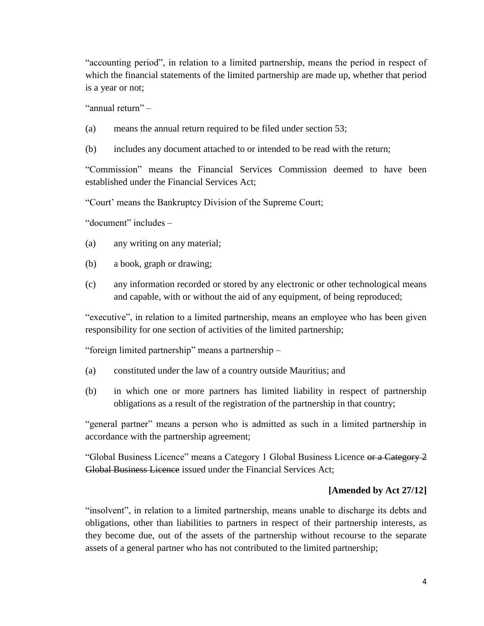"accounting period", in relation to a limited partnership, means the period in respect of which the financial statements of the limited partnership are made up, whether that period is a year or not;

"annual return" –

- (a) means the annual return required to be filed under section 53;
- (b) includes any document attached to or intended to be read with the return;

"Commission" means the Financial Services Commission deemed to have been established under the Financial Services Act;

"Court' means the Bankruptcy Division of the Supreme Court;

"document" includes –

- (a) any writing on any material;
- (b) a book, graph or drawing;
- (c) any information recorded or stored by any electronic or other technological means and capable, with or without the aid of any equipment, of being reproduced;

"executive", in relation to a limited partnership, means an employee who has been given responsibility for one section of activities of the limited partnership;

"foreign limited partnership" means a partnership –

- (a) constituted under the law of a country outside Mauritius; and
- (b) in which one or more partners has limited liability in respect of partnership obligations as a result of the registration of the partnership in that country;

"general partner" means a person who is admitted as such in a limited partnership in accordance with the partnership agreement;

"Global Business Licence" means a Category 1 Global Business Licence or a Category 2 Global Business Licence issued under the Financial Services Act:

#### **[Amended by Act 27/12]**

"insolvent", in relation to a limited partnership, means unable to discharge its debts and obligations, other than liabilities to partners in respect of their partnership interests, as they become due, out of the assets of the partnership without recourse to the separate assets of a general partner who has not contributed to the limited partnership;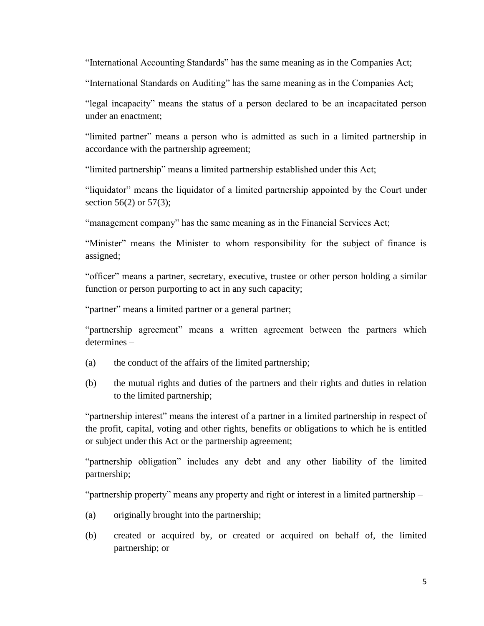"International Accounting Standards" has the same meaning as in the Companies Act;

"International Standards on Auditing" has the same meaning as in the Companies Act;

"legal incapacity" means the status of a person declared to be an incapacitated person under an enactment;

"limited partner" means a person who is admitted as such in a limited partnership in accordance with the partnership agreement;

"limited partnership" means a limited partnership established under this Act;

"liquidator" means the liquidator of a limited partnership appointed by the Court under section 56(2) or 57(3);

"management company" has the same meaning as in the Financial Services Act;

"Minister" means the Minister to whom responsibility for the subject of finance is assigned;

"officer" means a partner, secretary, executive, trustee or other person holding a similar function or person purporting to act in any such capacity;

"partner" means a limited partner or a general partner;

"partnership agreement" means a written agreement between the partners which determines –

- (a) the conduct of the affairs of the limited partnership;
- (b) the mutual rights and duties of the partners and their rights and duties in relation to the limited partnership;

"partnership interest" means the interest of a partner in a limited partnership in respect of the profit, capital, voting and other rights, benefits or obligations to which he is entitled or subject under this Act or the partnership agreement;

"partnership obligation" includes any debt and any other liability of the limited partnership;

"partnership property" means any property and right or interest in a limited partnership –

- (a) originally brought into the partnership;
- (b) created or acquired by, or created or acquired on behalf of, the limited partnership; or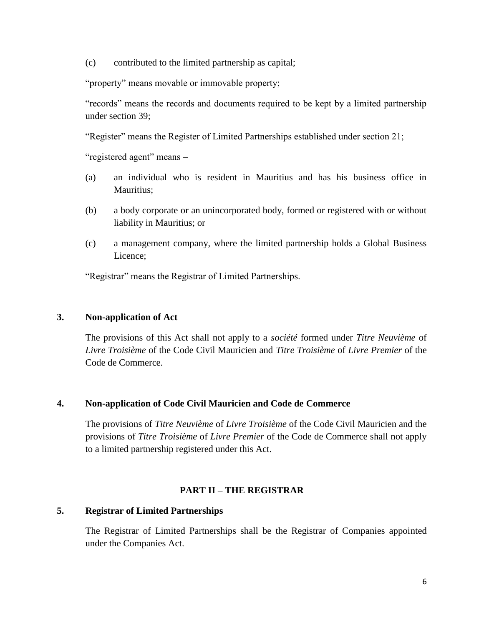(c) contributed to the limited partnership as capital;

"property" means movable or immovable property;

"records" means the records and documents required to be kept by a limited partnership under section 39;

"Register" means the Register of Limited Partnerships established under section 21;

"registered agent" means –

- (a) an individual who is resident in Mauritius and has his business office in Mauritius;
- (b) a body corporate or an unincorporated body, formed or registered with or without liability in Mauritius; or
- (c) a management company, where the limited partnership holds a Global Business Licence;

"Registrar" means the Registrar of Limited Partnerships.

## **3. Non-application of Act**

The provisions of this Act shall not apply to a *société* formed under *Titre Neuvième* of *Livre Troisième* of the Code Civil Mauricien and *Titre Troisième* of *Livre Premier* of the Code de Commerce.

## **4. Non-application of Code Civil Mauricien and Code de Commerce**

The provisions of *Titre Neuvième* of *Livre Troisième* of the Code Civil Mauricien and the provisions of *Titre Troisième* of *Livre Premier* of the Code de Commerce shall not apply to a limited partnership registered under this Act.

## **PART II – THE REGISTRAR**

#### **5. Registrar of Limited Partnerships**

The Registrar of Limited Partnerships shall be the Registrar of Companies appointed under the Companies Act.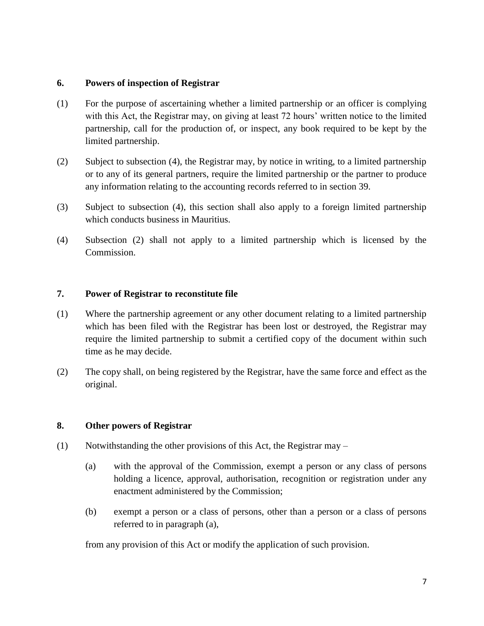### **6. Powers of inspection of Registrar**

- (1) For the purpose of ascertaining whether a limited partnership or an officer is complying with this Act, the Registrar may, on giving at least 72 hours' written notice to the limited partnership, call for the production of, or inspect, any book required to be kept by the limited partnership.
- (2) Subject to subsection (4), the Registrar may, by notice in writing, to a limited partnership or to any of its general partners, require the limited partnership or the partner to produce any information relating to the accounting records referred to in section 39.
- (3) Subject to subsection (4), this section shall also apply to a foreign limited partnership which conducts business in Mauritius.
- (4) Subsection (2) shall not apply to a limited partnership which is licensed by the Commission.

## **7. Power of Registrar to reconstitute file**

- (1) Where the partnership agreement or any other document relating to a limited partnership which has been filed with the Registrar has been lost or destroyed, the Registrar may require the limited partnership to submit a certified copy of the document within such time as he may decide.
- (2) The copy shall, on being registered by the Registrar, have the same force and effect as the original.

#### **8. Other powers of Registrar**

- (1) Notwithstanding the other provisions of this Act, the Registrar may
	- (a) with the approval of the Commission, exempt a person or any class of persons holding a licence, approval, authorisation, recognition or registration under any enactment administered by the Commission;
	- (b) exempt a person or a class of persons, other than a person or a class of persons referred to in paragraph (a),

from any provision of this Act or modify the application of such provision.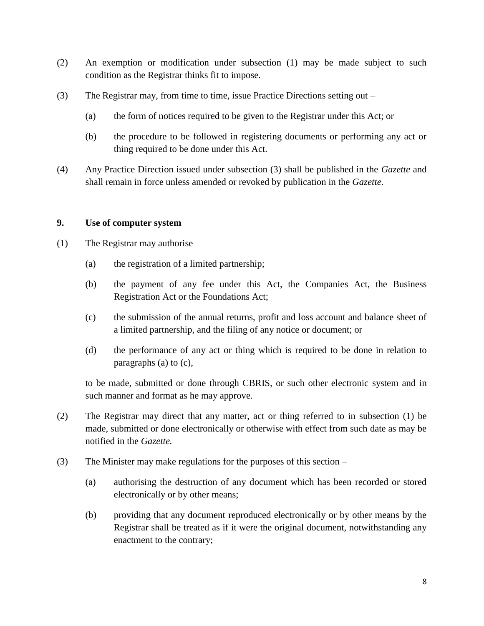- (2) An exemption or modification under subsection (1) may be made subject to such condition as the Registrar thinks fit to impose.
- (3) The Registrar may, from time to time, issue Practice Directions setting out
	- (a) the form of notices required to be given to the Registrar under this Act; or
	- (b) the procedure to be followed in registering documents or performing any act or thing required to be done under this Act.
- (4) Any Practice Direction issued under subsection (3) shall be published in the *Gazette* and shall remain in force unless amended or revoked by publication in the *Gazette*.

### **9. Use of computer system**

- (1) The Registrar may authorise
	- (a) the registration of a limited partnership;
	- (b) the payment of any fee under this Act, the Companies Act, the Business Registration Act or the Foundations Act;
	- (c) the submission of the annual returns, profit and loss account and balance sheet of a limited partnership, and the filing of any notice or document; or
	- (d) the performance of any act or thing which is required to be done in relation to paragraphs (a) to (c),

to be made, submitted or done through CBRIS, or such other electronic system and in such manner and format as he may approve.

- (2) The Registrar may direct that any matter, act or thing referred to in subsection (1) be made, submitted or done electronically or otherwise with effect from such date as may be notified in the *Gazette.*
- (3) The Minister may make regulations for the purposes of this section
	- (a) authorising the destruction of any document which has been recorded or stored electronically or by other means;
	- (b) providing that any document reproduced electronically or by other means by the Registrar shall be treated as if it were the original document, notwithstanding any enactment to the contrary;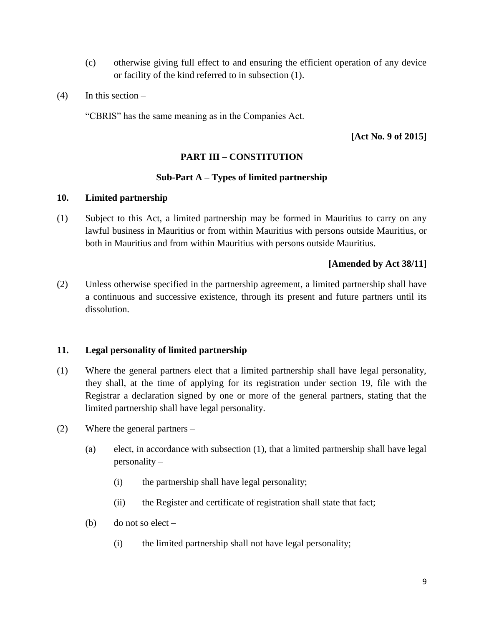- (c) otherwise giving full effect to and ensuring the efficient operation of any device or facility of the kind referred to in subsection (1).
- $(4)$  In this section –

"CBRIS" has the same meaning as in the Companies Act.

**[Act No. 9 of 2015]**

## **PART III – CONSTITUTION**

## **Sub-Part A – Types of limited partnership**

### **10. Limited partnership**

(1) Subject to this Act, a limited partnership may be formed in Mauritius to carry on any lawful business in Mauritius or from within Mauritius with persons outside Mauritius, or both in Mauritius and from within Mauritius with persons outside Mauritius.

## **[Amended by Act 38/11]**

(2) Unless otherwise specified in the partnership agreement, a limited partnership shall have a continuous and successive existence, through its present and future partners until its dissolution.

## **11. Legal personality of limited partnership**

- (1) Where the general partners elect that a limited partnership shall have legal personality, they shall, at the time of applying for its registration under section 19, file with the Registrar a declaration signed by one or more of the general partners, stating that the limited partnership shall have legal personality.
- (2) Where the general partners
	- (a) elect, in accordance with subsection (1), that a limited partnership shall have legal personality –
		- (i) the partnership shall have legal personality;
		- (ii) the Register and certificate of registration shall state that fact;
	- (b) do not so elect
		- (i) the limited partnership shall not have legal personality;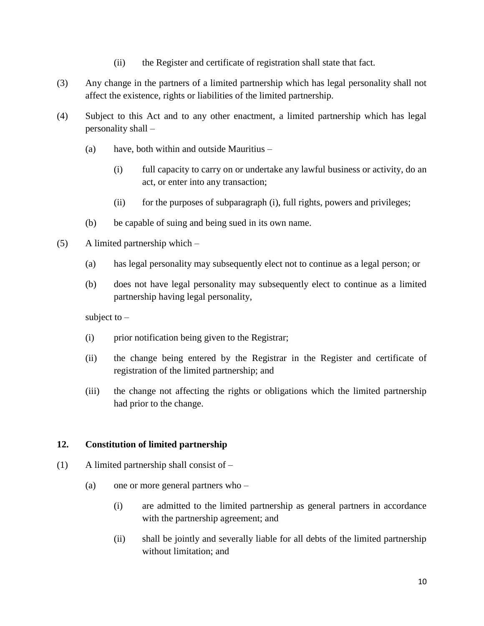- (ii) the Register and certificate of registration shall state that fact.
- (3) Any change in the partners of a limited partnership which has legal personality shall not affect the existence, rights or liabilities of the limited partnership.
- (4) Subject to this Act and to any other enactment, a limited partnership which has legal personality shall –
	- (a) have, both within and outside Mauritius
		- (i) full capacity to carry on or undertake any lawful business or activity, do an act, or enter into any transaction;
		- (ii) for the purposes of subparagraph (i), full rights, powers and privileges;
	- (b) be capable of suing and being sued in its own name.
- (5) A limited partnership which
	- (a) has legal personality may subsequently elect not to continue as a legal person; or
	- (b) does not have legal personality may subsequently elect to continue as a limited partnership having legal personality,

subject to –

- (i) prior notification being given to the Registrar;
- (ii) the change being entered by the Registrar in the Register and certificate of registration of the limited partnership; and
- (iii) the change not affecting the rights or obligations which the limited partnership had prior to the change.

## **12. Constitution of limited partnership**

- (1) A limited partnership shall consist of
	- (a) one or more general partners who
		- (i) are admitted to the limited partnership as general partners in accordance with the partnership agreement; and
		- (ii) shall be jointly and severally liable for all debts of the limited partnership without limitation; and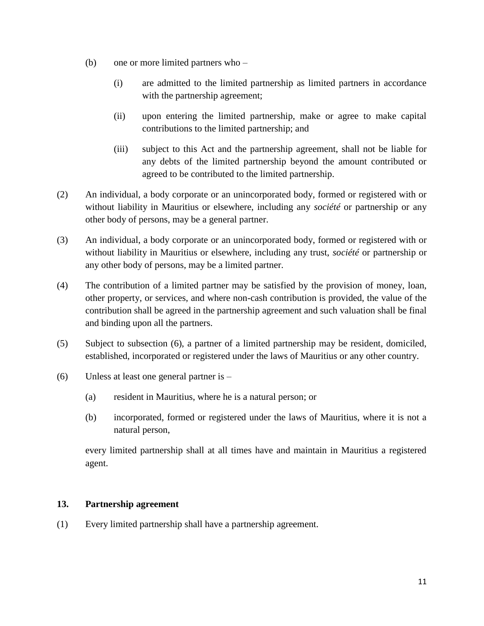- (b) one or more limited partners who
	- (i) are admitted to the limited partnership as limited partners in accordance with the partnership agreement;
	- (ii) upon entering the limited partnership, make or agree to make capital contributions to the limited partnership; and
	- (iii) subject to this Act and the partnership agreement, shall not be liable for any debts of the limited partnership beyond the amount contributed or agreed to be contributed to the limited partnership.
- (2) An individual, a body corporate or an unincorporated body, formed or registered with or without liability in Mauritius or elsewhere, including any *société* or partnership or any other body of persons, may be a general partner.
- (3) An individual, a body corporate or an unincorporated body, formed or registered with or without liability in Mauritius or elsewhere, including any trust, *société* or partnership or any other body of persons, may be a limited partner.
- (4) The contribution of a limited partner may be satisfied by the provision of money, loan, other property, or services, and where non-cash contribution is provided, the value of the contribution shall be agreed in the partnership agreement and such valuation shall be final and binding upon all the partners.
- (5) Subject to subsection (6), a partner of a limited partnership may be resident, domiciled, established, incorporated or registered under the laws of Mauritius or any other country.
- (6) Unless at least one general partner is
	- (a) resident in Mauritius, where he is a natural person; or
	- (b) incorporated, formed or registered under the laws of Mauritius, where it is not a natural person,

every limited partnership shall at all times have and maintain in Mauritius a registered agent.

## **13. Partnership agreement**

(1) Every limited partnership shall have a partnership agreement.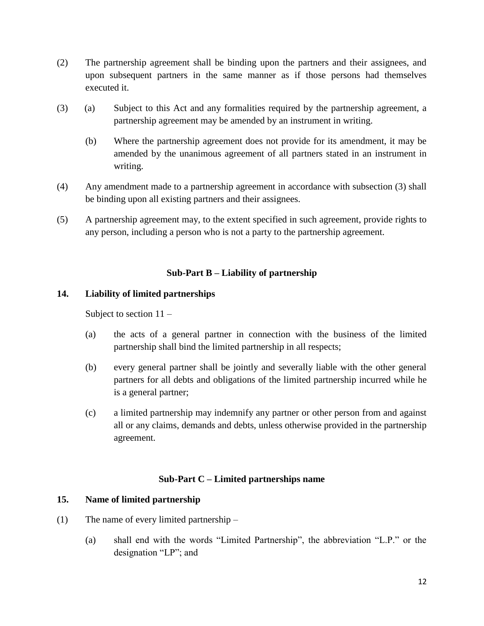- (2) The partnership agreement shall be binding upon the partners and their assignees, and upon subsequent partners in the same manner as if those persons had themselves executed it.
- (3) (a) Subject to this Act and any formalities required by the partnership agreement, a partnership agreement may be amended by an instrument in writing.
	- (b) Where the partnership agreement does not provide for its amendment, it may be amended by the unanimous agreement of all partners stated in an instrument in writing.
- (4) Any amendment made to a partnership agreement in accordance with subsection (3) shall be binding upon all existing partners and their assignees.
- (5) A partnership agreement may, to the extent specified in such agreement, provide rights to any person, including a person who is not a party to the partnership agreement.

## **Sub-Part B – Liability of partnership**

## **14. Liability of limited partnerships**

Subject to section  $11 -$ 

- (a) the acts of a general partner in connection with the business of the limited partnership shall bind the limited partnership in all respects;
- (b) every general partner shall be jointly and severally liable with the other general partners for all debts and obligations of the limited partnership incurred while he is a general partner;
- (c) a limited partnership may indemnify any partner or other person from and against all or any claims, demands and debts, unless otherwise provided in the partnership agreement.

## **Sub-Part C – Limited partnerships name**

## **15. Name of limited partnership**

- (1) The name of every limited partnership
	- (a) shall end with the words "Limited Partnership", the abbreviation "L.P." or the designation "LP"; and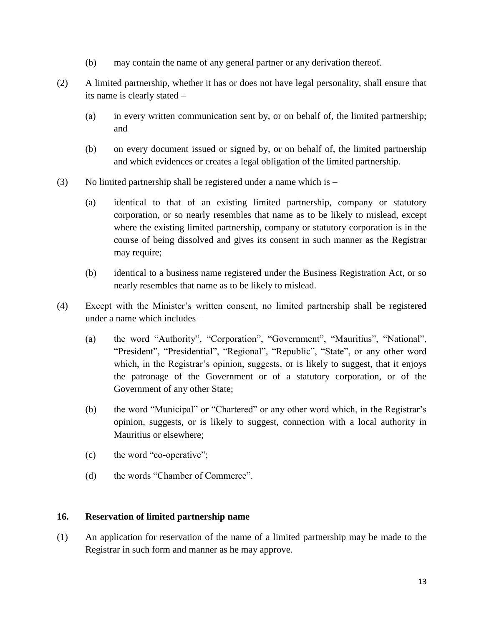- (b) may contain the name of any general partner or any derivation thereof.
- (2) A limited partnership, whether it has or does not have legal personality, shall ensure that its name is clearly stated –
	- (a) in every written communication sent by, or on behalf of, the limited partnership; and
	- (b) on every document issued or signed by, or on behalf of, the limited partnership and which evidences or creates a legal obligation of the limited partnership.
- (3) No limited partnership shall be registered under a name which is  $-$ 
	- (a) identical to that of an existing limited partnership, company or statutory corporation, or so nearly resembles that name as to be likely to mislead, except where the existing limited partnership, company or statutory corporation is in the course of being dissolved and gives its consent in such manner as the Registrar may require;
	- (b) identical to a business name registered under the Business Registration Act, or so nearly resembles that name as to be likely to mislead.
- (4) Except with the Minister's written consent, no limited partnership shall be registered under a name which includes –
	- (a) the word "Authority", "Corporation", "Government", "Mauritius", "National", "President", "Presidential", "Regional", "Republic", "State", or any other word which, in the Registrar's opinion, suggests, or is likely to suggest, that it enjoys the patronage of the Government or of a statutory corporation, or of the Government of any other State;
	- (b) the word "Municipal" or "Chartered" or any other word which, in the Registrar's opinion, suggests, or is likely to suggest, connection with a local authority in Mauritius or elsewhere;
	- (c) the word "co-operative";
	- (d) the words "Chamber of Commerce".

## **16. Reservation of limited partnership name**

(1) An application for reservation of the name of a limited partnership may be made to the Registrar in such form and manner as he may approve.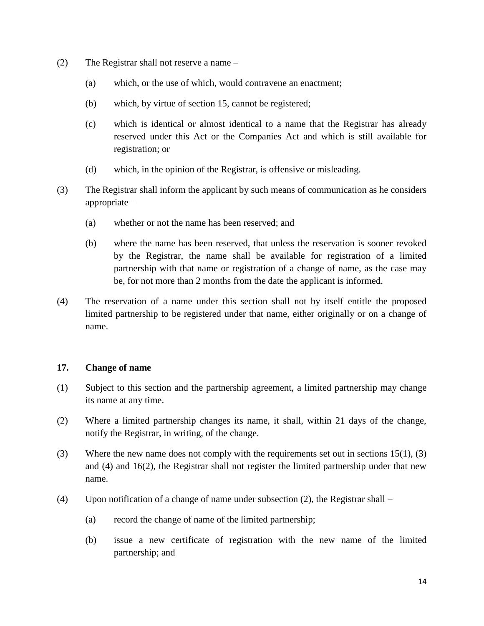- (2) The Registrar shall not reserve a name
	- (a) which, or the use of which, would contravene an enactment;
	- (b) which, by virtue of section 15, cannot be registered;
	- (c) which is identical or almost identical to a name that the Registrar has already reserved under this Act or the Companies Act and which is still available for registration; or
	- (d) which, in the opinion of the Registrar, is offensive or misleading.
- (3) The Registrar shall inform the applicant by such means of communication as he considers appropriate –
	- (a) whether or not the name has been reserved; and
	- (b) where the name has been reserved, that unless the reservation is sooner revoked by the Registrar, the name shall be available for registration of a limited partnership with that name or registration of a change of name, as the case may be, for not more than 2 months from the date the applicant is informed.
- (4) The reservation of a name under this section shall not by itself entitle the proposed limited partnership to be registered under that name, either originally or on a change of name.

#### **17. Change of name**

- (1) Subject to this section and the partnership agreement, a limited partnership may change its name at any time.
- (2) Where a limited partnership changes its name, it shall, within 21 days of the change, notify the Registrar, in writing, of the change.
- (3) Where the new name does not comply with the requirements set out in sections 15(1), (3) and (4) and 16(2), the Registrar shall not register the limited partnership under that new name.
- (4) Upon notification of a change of name under subsection (2), the Registrar shall
	- (a) record the change of name of the limited partnership;
	- (b) issue a new certificate of registration with the new name of the limited partnership; and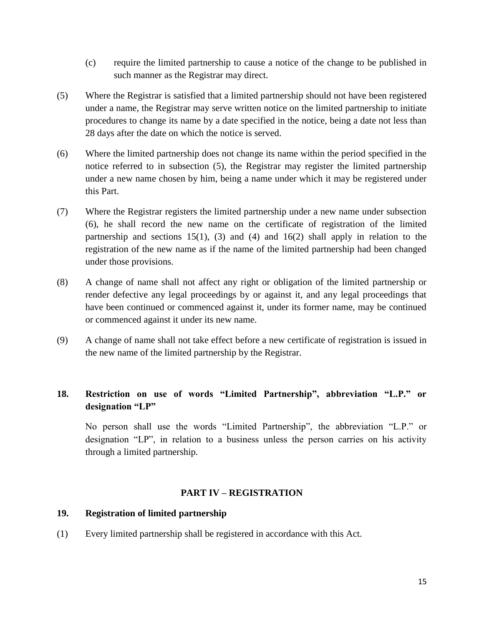- (c) require the limited partnership to cause a notice of the change to be published in such manner as the Registrar may direct.
- (5) Where the Registrar is satisfied that a limited partnership should not have been registered under a name, the Registrar may serve written notice on the limited partnership to initiate procedures to change its name by a date specified in the notice, being a date not less than 28 days after the date on which the notice is served.
- (6) Where the limited partnership does not change its name within the period specified in the notice referred to in subsection (5), the Registrar may register the limited partnership under a new name chosen by him, being a name under which it may be registered under this Part.
- (7) Where the Registrar registers the limited partnership under a new name under subsection (6), he shall record the new name on the certificate of registration of the limited partnership and sections  $15(1)$ ,  $(3)$  and  $(4)$  and  $16(2)$  shall apply in relation to the registration of the new name as if the name of the limited partnership had been changed under those provisions.
- (8) A change of name shall not affect any right or obligation of the limited partnership or render defective any legal proceedings by or against it, and any legal proceedings that have been continued or commenced against it, under its former name, may be continued or commenced against it under its new name.
- (9) A change of name shall not take effect before a new certificate of registration is issued in the new name of the limited partnership by the Registrar.

## **18. Restriction on use of words "Limited Partnership", abbreviation "L.P." or designation "LP"**

No person shall use the words "Limited Partnership", the abbreviation "L.P." or designation "LP", in relation to a business unless the person carries on his activity through a limited partnership.

#### **PART IV – REGISTRATION**

#### **19. Registration of limited partnership**

(1) Every limited partnership shall be registered in accordance with this Act.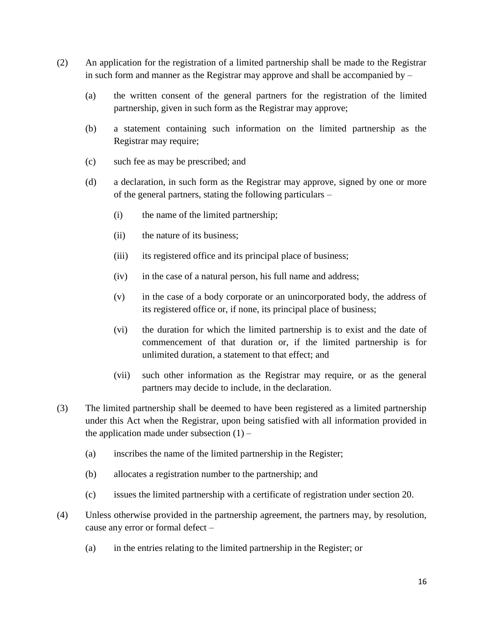- (2) An application for the registration of a limited partnership shall be made to the Registrar in such form and manner as the Registrar may approve and shall be accompanied by  $-$ 
	- (a) the written consent of the general partners for the registration of the limited partnership, given in such form as the Registrar may approve;
	- (b) a statement containing such information on the limited partnership as the Registrar may require;
	- (c) such fee as may be prescribed; and
	- (d) a declaration, in such form as the Registrar may approve, signed by one or more of the general partners, stating the following particulars –
		- (i) the name of the limited partnership;
		- (ii) the nature of its business;
		- (iii) its registered office and its principal place of business;
		- (iv) in the case of a natural person, his full name and address;
		- (v) in the case of a body corporate or an unincorporated body, the address of its registered office or, if none, its principal place of business;
		- (vi) the duration for which the limited partnership is to exist and the date of commencement of that duration or, if the limited partnership is for unlimited duration, a statement to that effect; and
		- (vii) such other information as the Registrar may require, or as the general partners may decide to include, in the declaration.
- (3) The limited partnership shall be deemed to have been registered as a limited partnership under this Act when the Registrar, upon being satisfied with all information provided in the application made under subsection  $(1)$  –
	- (a) inscribes the name of the limited partnership in the Register;
	- (b) allocates a registration number to the partnership; and
	- (c) issues the limited partnership with a certificate of registration under section 20.
- (4) Unless otherwise provided in the partnership agreement, the partners may, by resolution, cause any error or formal defect –
	- (a) in the entries relating to the limited partnership in the Register; or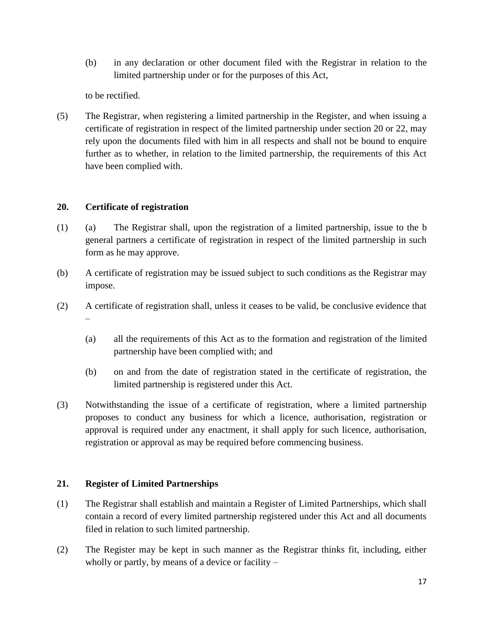(b) in any declaration or other document filed with the Registrar in relation to the limited partnership under or for the purposes of this Act,

to be rectified.

(5) The Registrar, when registering a limited partnership in the Register, and when issuing a certificate of registration in respect of the limited partnership under section 20 or 22, may rely upon the documents filed with him in all respects and shall not be bound to enquire further as to whether, in relation to the limited partnership, the requirements of this Act have been complied with.

## **20. Certificate of registration**

- (1) (a) The Registrar shall, upon the registration of a limited partnership, issue to the b general partners a certificate of registration in respect of the limited partnership in such form as he may approve.
- (b) A certificate of registration may be issued subject to such conditions as the Registrar may impose.
- (2) A certificate of registration shall, unless it ceases to be valid, be conclusive evidence that –
	- (a) all the requirements of this Act as to the formation and registration of the limited partnership have been complied with; and
	- (b) on and from the date of registration stated in the certificate of registration, the limited partnership is registered under this Act.
- (3) Notwithstanding the issue of a certificate of registration, where a limited partnership proposes to conduct any business for which a licence, authorisation, registration or approval is required under any enactment, it shall apply for such licence, authorisation, registration or approval as may be required before commencing business.

## **21. Register of Limited Partnerships**

- (1) The Registrar shall establish and maintain a Register of Limited Partnerships, which shall contain a record of every limited partnership registered under this Act and all documents filed in relation to such limited partnership.
- (2) The Register may be kept in such manner as the Registrar thinks fit, including, either wholly or partly, by means of a device or facility –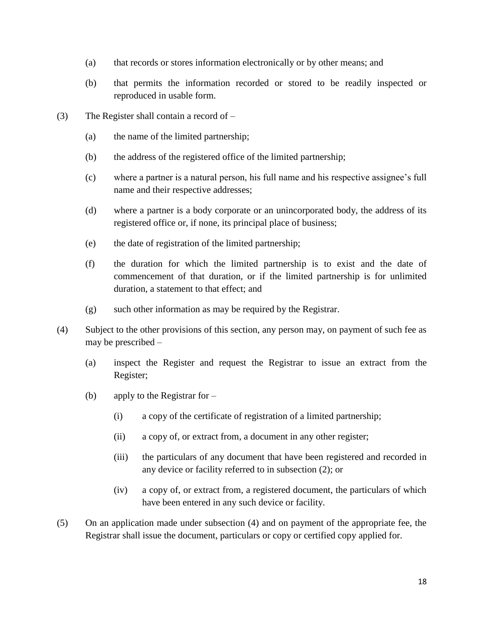- (a) that records or stores information electronically or by other means; and
- (b) that permits the information recorded or stored to be readily inspected or reproduced in usable form.
- (3) The Register shall contain a record of
	- (a) the name of the limited partnership;
	- (b) the address of the registered office of the limited partnership;
	- (c) where a partner is a natural person, his full name and his respective assignee's full name and their respective addresses;
	- (d) where a partner is a body corporate or an unincorporated body, the address of its registered office or, if none, its principal place of business;
	- (e) the date of registration of the limited partnership;
	- (f) the duration for which the limited partnership is to exist and the date of commencement of that duration, or if the limited partnership is for unlimited duration, a statement to that effect; and
	- (g) such other information as may be required by the Registrar.
- (4) Subject to the other provisions of this section, any person may, on payment of such fee as may be prescribed –
	- (a) inspect the Register and request the Registrar to issue an extract from the Register;
	- (b) apply to the Registrar for
		- (i) a copy of the certificate of registration of a limited partnership;
		- (ii) a copy of, or extract from, a document in any other register;
		- (iii) the particulars of any document that have been registered and recorded in any device or facility referred to in subsection (2); or
		- (iv) a copy of, or extract from, a registered document, the particulars of which have been entered in any such device or facility.
- (5) On an application made under subsection (4) and on payment of the appropriate fee, the Registrar shall issue the document, particulars or copy or certified copy applied for.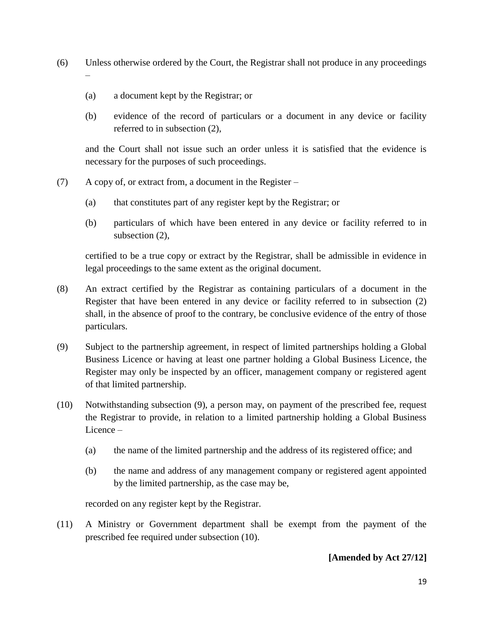- (6) Unless otherwise ordered by the Court, the Registrar shall not produce in any proceedings –
	- (a) a document kept by the Registrar; or
	- (b) evidence of the record of particulars or a document in any device or facility referred to in subsection (2),

and the Court shall not issue such an order unless it is satisfied that the evidence is necessary for the purposes of such proceedings.

- (7) A copy of, or extract from, a document in the Register
	- (a) that constitutes part of any register kept by the Registrar; or
	- (b) particulars of which have been entered in any device or facility referred to in subsection (2),

certified to be a true copy or extract by the Registrar, shall be admissible in evidence in legal proceedings to the same extent as the original document.

- (8) An extract certified by the Registrar as containing particulars of a document in the Register that have been entered in any device or facility referred to in subsection (2) shall, in the absence of proof to the contrary, be conclusive evidence of the entry of those particulars.
- (9) Subject to the partnership agreement, in respect of limited partnerships holding a Global Business Licence or having at least one partner holding a Global Business Licence, the Register may only be inspected by an officer, management company or registered agent of that limited partnership.
- (10) Notwithstanding subsection (9), a person may, on payment of the prescribed fee, request the Registrar to provide, in relation to a limited partnership holding a Global Business Licence –
	- (a) the name of the limited partnership and the address of its registered office; and
	- (b) the name and address of any management company or registered agent appointed by the limited partnership, as the case may be,

recorded on any register kept by the Registrar.

(11) A Ministry or Government department shall be exempt from the payment of the prescribed fee required under subsection (10).

## **[Amended by Act 27/12]**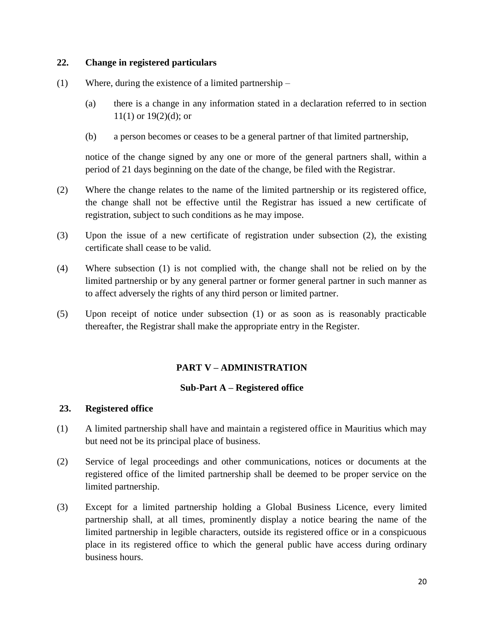## **22. Change in registered particulars**

- (1) Where, during the existence of a limited partnership
	- (a) there is a change in any information stated in a declaration referred to in section  $11(1)$  or  $19(2)(d)$ ; or
	- (b) a person becomes or ceases to be a general partner of that limited partnership,

notice of the change signed by any one or more of the general partners shall, within a period of 21 days beginning on the date of the change, be filed with the Registrar.

- (2) Where the change relates to the name of the limited partnership or its registered office, the change shall not be effective until the Registrar has issued a new certificate of registration, subject to such conditions as he may impose.
- (3) Upon the issue of a new certificate of registration under subsection (2), the existing certificate shall cease to be valid.
- (4) Where subsection (1) is not complied with, the change shall not be relied on by the limited partnership or by any general partner or former general partner in such manner as to affect adversely the rights of any third person or limited partner.
- (5) Upon receipt of notice under subsection (1) or as soon as is reasonably practicable thereafter, the Registrar shall make the appropriate entry in the Register.

## **PART V – ADMINISTRATION**

#### **Sub-Part A – Registered office**

## **23. Registered office**

- (1) A limited partnership shall have and maintain a registered office in Mauritius which may but need not be its principal place of business.
- (2) Service of legal proceedings and other communications, notices or documents at the registered office of the limited partnership shall be deemed to be proper service on the limited partnership.
- (3) Except for a limited partnership holding a Global Business Licence, every limited partnership shall, at all times, prominently display a notice bearing the name of the limited partnership in legible characters, outside its registered office or in a conspicuous place in its registered office to which the general public have access during ordinary business hours.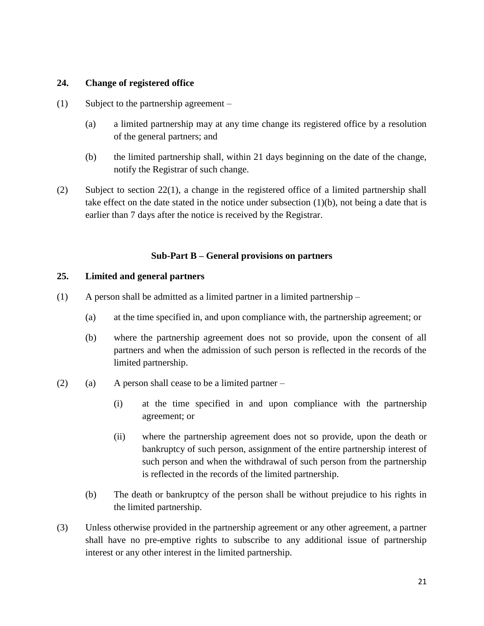## **24. Change of registered office**

- (1) Subject to the partnership agreement
	- (a) a limited partnership may at any time change its registered office by a resolution of the general partners; and
	- (b) the limited partnership shall, within 21 days beginning on the date of the change, notify the Registrar of such change.
- (2) Subject to section 22(1), a change in the registered office of a limited partnership shall take effect on the date stated in the notice under subsection (1)(b), not being a date that is earlier than 7 days after the notice is received by the Registrar.

## **Sub-Part B – General provisions on partners**

#### **25. Limited and general partners**

- (1) A person shall be admitted as a limited partner in a limited partnership
	- (a) at the time specified in, and upon compliance with, the partnership agreement; or
	- (b) where the partnership agreement does not so provide, upon the consent of all partners and when the admission of such person is reflected in the records of the limited partnership.
- (2) (a) A person shall cease to be a limited partner
	- (i) at the time specified in and upon compliance with the partnership agreement; or
	- (ii) where the partnership agreement does not so provide, upon the death or bankruptcy of such person, assignment of the entire partnership interest of such person and when the withdrawal of such person from the partnership is reflected in the records of the limited partnership.
	- (b) The death or bankruptcy of the person shall be without prejudice to his rights in the limited partnership.
- (3) Unless otherwise provided in the partnership agreement or any other agreement, a partner shall have no pre-emptive rights to subscribe to any additional issue of partnership interest or any other interest in the limited partnership.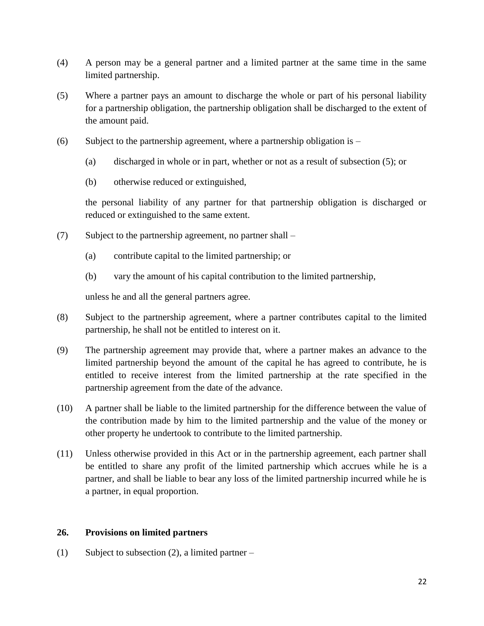- (4) A person may be a general partner and a limited partner at the same time in the same limited partnership.
- (5) Where a partner pays an amount to discharge the whole or part of his personal liability for a partnership obligation, the partnership obligation shall be discharged to the extent of the amount paid.
- (6) Subject to the partnership agreement, where a partnership obligation is
	- (a) discharged in whole or in part, whether or not as a result of subsection (5); or
	- (b) otherwise reduced or extinguished,

the personal liability of any partner for that partnership obligation is discharged or reduced or extinguished to the same extent.

- (7) Subject to the partnership agreement, no partner shall
	- (a) contribute capital to the limited partnership; or
	- (b) vary the amount of his capital contribution to the limited partnership,

unless he and all the general partners agree.

- (8) Subject to the partnership agreement, where a partner contributes capital to the limited partnership, he shall not be entitled to interest on it.
- (9) The partnership agreement may provide that, where a partner makes an advance to the limited partnership beyond the amount of the capital he has agreed to contribute, he is entitled to receive interest from the limited partnership at the rate specified in the partnership agreement from the date of the advance.
- (10) A partner shall be liable to the limited partnership for the difference between the value of the contribution made by him to the limited partnership and the value of the money or other property he undertook to contribute to the limited partnership.
- (11) Unless otherwise provided in this Act or in the partnership agreement, each partner shall be entitled to share any profit of the limited partnership which accrues while he is a partner, and shall be liable to bear any loss of the limited partnership incurred while he is a partner, in equal proportion.

#### **26. Provisions on limited partners**

(1) Subject to subsection (2), a limited partner –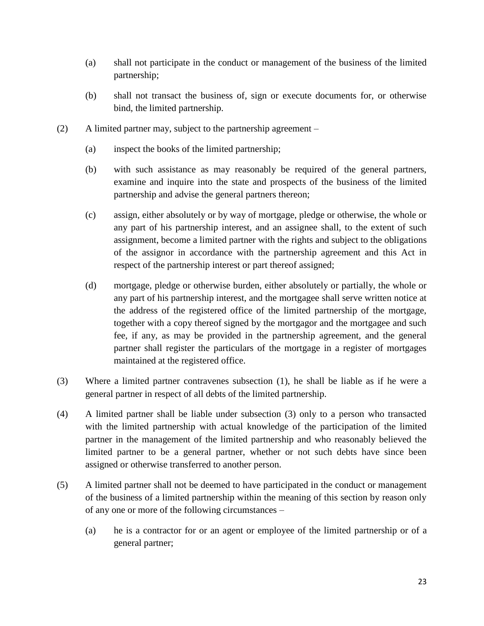- (a) shall not participate in the conduct or management of the business of the limited partnership;
- (b) shall not transact the business of, sign or execute documents for, or otherwise bind, the limited partnership.
- (2) A limited partner may, subject to the partnership agreement
	- (a) inspect the books of the limited partnership;
	- (b) with such assistance as may reasonably be required of the general partners, examine and inquire into the state and prospects of the business of the limited partnership and advise the general partners thereon;
	- (c) assign, either absolutely or by way of mortgage, pledge or otherwise, the whole or any part of his partnership interest, and an assignee shall, to the extent of such assignment, become a limited partner with the rights and subject to the obligations of the assignor in accordance with the partnership agreement and this Act in respect of the partnership interest or part thereof assigned;
	- (d) mortgage, pledge or otherwise burden, either absolutely or partially, the whole or any part of his partnership interest, and the mortgagee shall serve written notice at the address of the registered office of the limited partnership of the mortgage, together with a copy thereof signed by the mortgagor and the mortgagee and such fee, if any, as may be provided in the partnership agreement, and the general partner shall register the particulars of the mortgage in a register of mortgages maintained at the registered office.
- (3) Where a limited partner contravenes subsection (1), he shall be liable as if he were a general partner in respect of all debts of the limited partnership.
- (4) A limited partner shall be liable under subsection (3) only to a person who transacted with the limited partnership with actual knowledge of the participation of the limited partner in the management of the limited partnership and who reasonably believed the limited partner to be a general partner, whether or not such debts have since been assigned or otherwise transferred to another person.
- (5) A limited partner shall not be deemed to have participated in the conduct or management of the business of a limited partnership within the meaning of this section by reason only of any one or more of the following circumstances –
	- (a) he is a contractor for or an agent or employee of the limited partnership or of a general partner;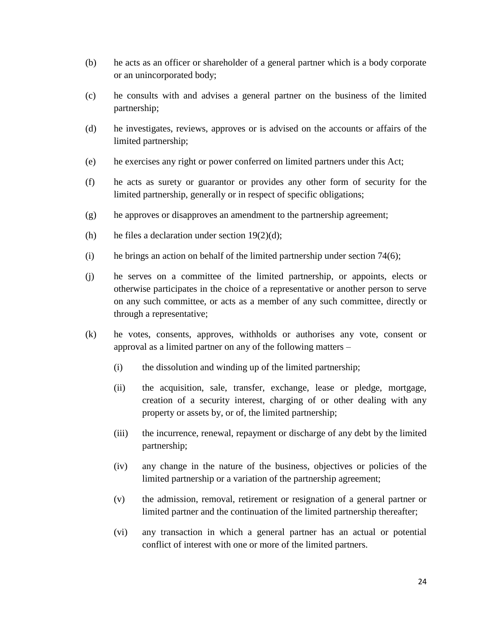- (b) he acts as an officer or shareholder of a general partner which is a body corporate or an unincorporated body;
- (c) he consults with and advises a general partner on the business of the limited partnership;
- (d) he investigates, reviews, approves or is advised on the accounts or affairs of the limited partnership;
- (e) he exercises any right or power conferred on limited partners under this Act;
- (f) he acts as surety or guarantor or provides any other form of security for the limited partnership, generally or in respect of specific obligations;
- (g) he approves or disapproves an amendment to the partnership agreement;
- (h) he files a declaration under section  $19(2)(d)$ ;
- (i) he brings an action on behalf of the limited partnership under section 74(6);
- (j) he serves on a committee of the limited partnership, or appoints, elects or otherwise participates in the choice of a representative or another person to serve on any such committee, or acts as a member of any such committee, directly or through a representative;
- (k) he votes, consents, approves, withholds or authorises any vote, consent or approval as a limited partner on any of the following matters –
	- (i) the dissolution and winding up of the limited partnership;
	- (ii) the acquisition, sale, transfer, exchange, lease or pledge, mortgage, creation of a security interest, charging of or other dealing with any property or assets by, or of, the limited partnership;
	- (iii) the incurrence, renewal, repayment or discharge of any debt by the limited partnership;
	- (iv) any change in the nature of the business, objectives or policies of the limited partnership or a variation of the partnership agreement;
	- (v) the admission, removal, retirement or resignation of a general partner or limited partner and the continuation of the limited partnership thereafter;
	- (vi) any transaction in which a general partner has an actual or potential conflict of interest with one or more of the limited partners.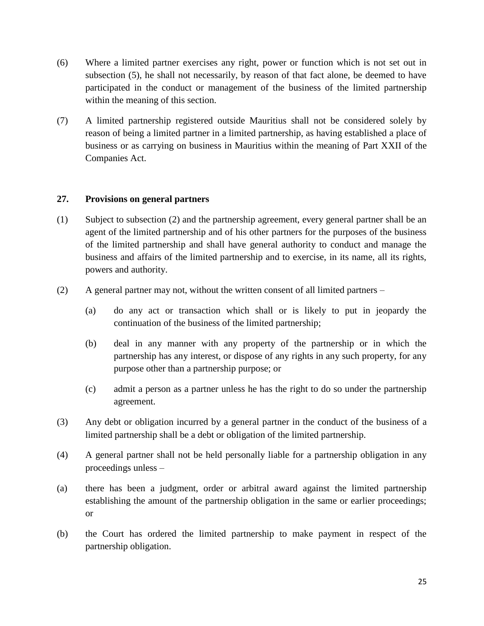- (6) Where a limited partner exercises any right, power or function which is not set out in subsection (5), he shall not necessarily, by reason of that fact alone, be deemed to have participated in the conduct or management of the business of the limited partnership within the meaning of this section.
- (7) A limited partnership registered outside Mauritius shall not be considered solely by reason of being a limited partner in a limited partnership, as having established a place of business or as carrying on business in Mauritius within the meaning of Part XXII of the Companies Act.

## **27. Provisions on general partners**

- (1) Subject to subsection (2) and the partnership agreement, every general partner shall be an agent of the limited partnership and of his other partners for the purposes of the business of the limited partnership and shall have general authority to conduct and manage the business and affairs of the limited partnership and to exercise, in its name, all its rights, powers and authority.
- (2) A general partner may not, without the written consent of all limited partners
	- (a) do any act or transaction which shall or is likely to put in jeopardy the continuation of the business of the limited partnership;
	- (b) deal in any manner with any property of the partnership or in which the partnership has any interest, or dispose of any rights in any such property, for any purpose other than a partnership purpose; or
	- (c) admit a person as a partner unless he has the right to do so under the partnership agreement.
- (3) Any debt or obligation incurred by a general partner in the conduct of the business of a limited partnership shall be a debt or obligation of the limited partnership.
- (4) A general partner shall not be held personally liable for a partnership obligation in any proceedings unless –
- (a) there has been a judgment, order or arbitral award against the limited partnership establishing the amount of the partnership obligation in the same or earlier proceedings; or
- (b) the Court has ordered the limited partnership to make payment in respect of the partnership obligation.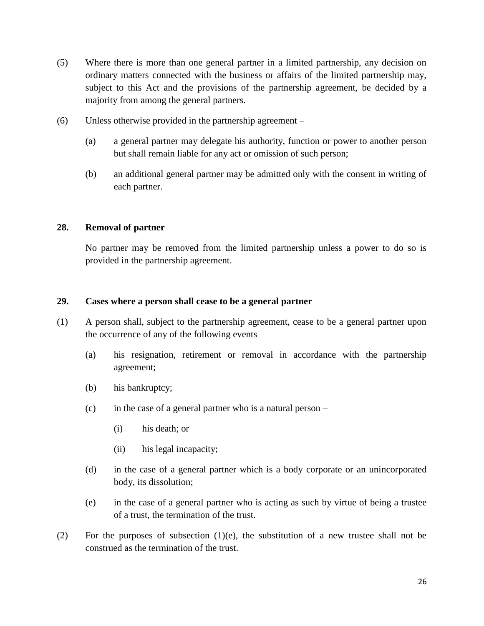- (5) Where there is more than one general partner in a limited partnership, any decision on ordinary matters connected with the business or affairs of the limited partnership may, subject to this Act and the provisions of the partnership agreement, be decided by a majority from among the general partners.
- (6) Unless otherwise provided in the partnership agreement
	- (a) a general partner may delegate his authority, function or power to another person but shall remain liable for any act or omission of such person;
	- (b) an additional general partner may be admitted only with the consent in writing of each partner.

#### **28. Removal of partner**

No partner may be removed from the limited partnership unless a power to do so is provided in the partnership agreement.

#### **29. Cases where a person shall cease to be a general partner**

- (1) A person shall, subject to the partnership agreement, cease to be a general partner upon the occurrence of any of the following events –
	- (a) his resignation, retirement or removal in accordance with the partnership agreement;
	- (b) his bankruptcy;
	- (c) in the case of a general partner who is a natural person  $-$ 
		- (i) his death; or
		- (ii) his legal incapacity;
	- (d) in the case of a general partner which is a body corporate or an unincorporated body, its dissolution;
	- (e) in the case of a general partner who is acting as such by virtue of being a trustee of a trust, the termination of the trust.
- (2) For the purposes of subsection (1)(e), the substitution of a new trustee shall not be construed as the termination of the trust.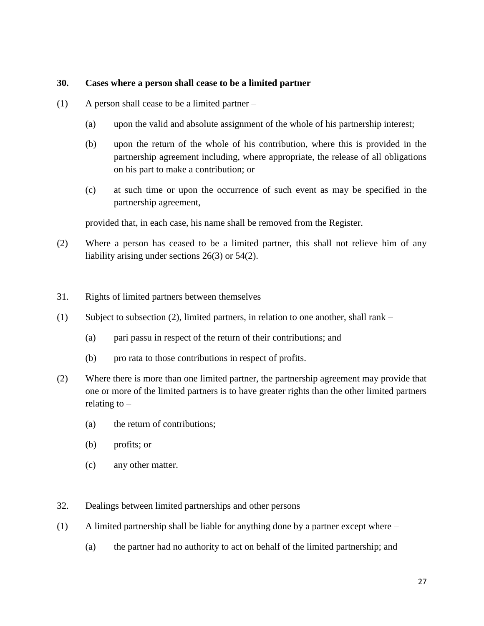#### **30. Cases where a person shall cease to be a limited partner**

- (1) A person shall cease to be a limited partner
	- (a) upon the valid and absolute assignment of the whole of his partnership interest;
	- (b) upon the return of the whole of his contribution, where this is provided in the partnership agreement including, where appropriate, the release of all obligations on his part to make a contribution; or
	- (c) at such time or upon the occurrence of such event as may be specified in the partnership agreement,

provided that, in each case, his name shall be removed from the Register.

- (2) Where a person has ceased to be a limited partner, this shall not relieve him of any liability arising under sections 26(3) or 54(2).
- 31. Rights of limited partners between themselves
- (1) Subject to subsection (2), limited partners, in relation to one another, shall rank
	- (a) pari passu in respect of the return of their contributions; and
	- (b) pro rata to those contributions in respect of profits.
- (2) Where there is more than one limited partner, the partnership agreement may provide that one or more of the limited partners is to have greater rights than the other limited partners relating to  $-$ 
	- (a) the return of contributions;
	- (b) profits; or
	- (c) any other matter.
- 32. Dealings between limited partnerships and other persons
- (1) A limited partnership shall be liable for anything done by a partner except where
	- (a) the partner had no authority to act on behalf of the limited partnership; and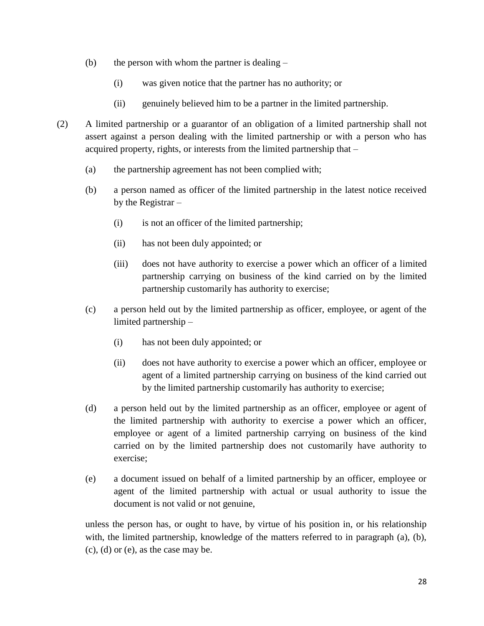- (b) the person with whom the partner is dealing  $-$ 
	- (i) was given notice that the partner has no authority; or
	- (ii) genuinely believed him to be a partner in the limited partnership.
- (2) A limited partnership or a guarantor of an obligation of a limited partnership shall not assert against a person dealing with the limited partnership or with a person who has acquired property, rights, or interests from the limited partnership that –
	- (a) the partnership agreement has not been complied with;
	- (b) a person named as officer of the limited partnership in the latest notice received by the Registrar –
		- (i) is not an officer of the limited partnership;
		- (ii) has not been duly appointed; or
		- (iii) does not have authority to exercise a power which an officer of a limited partnership carrying on business of the kind carried on by the limited partnership customarily has authority to exercise;
	- (c) a person held out by the limited partnership as officer, employee, or agent of the limited partnership –
		- (i) has not been duly appointed; or
		- (ii) does not have authority to exercise a power which an officer, employee or agent of a limited partnership carrying on business of the kind carried out by the limited partnership customarily has authority to exercise;
	- (d) a person held out by the limited partnership as an officer, employee or agent of the limited partnership with authority to exercise a power which an officer, employee or agent of a limited partnership carrying on business of the kind carried on by the limited partnership does not customarily have authority to exercise;
	- (e) a document issued on behalf of a limited partnership by an officer, employee or agent of the limited partnership with actual or usual authority to issue the document is not valid or not genuine,

unless the person has, or ought to have, by virtue of his position in, or his relationship with, the limited partnership, knowledge of the matters referred to in paragraph (a), (b), (c), (d) or (e), as the case may be.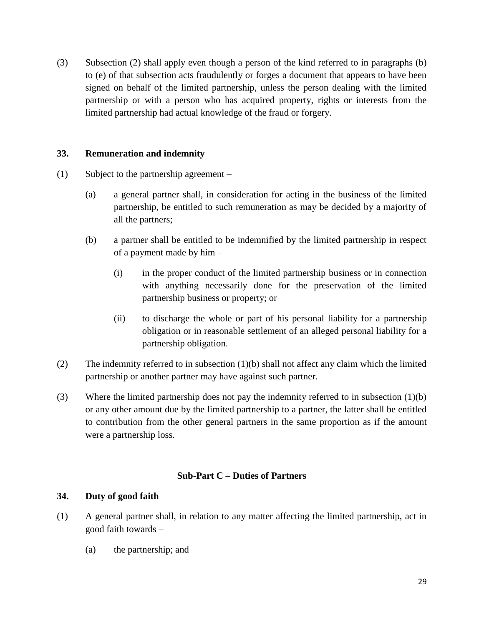(3) Subsection (2) shall apply even though a person of the kind referred to in paragraphs (b) to (e) of that subsection acts fraudulently or forges a document that appears to have been signed on behalf of the limited partnership, unless the person dealing with the limited partnership or with a person who has acquired property, rights or interests from the limited partnership had actual knowledge of the fraud or forgery.

#### **33. Remuneration and indemnity**

- (1) Subject to the partnership agreement
	- (a) a general partner shall, in consideration for acting in the business of the limited partnership, be entitled to such remuneration as may be decided by a majority of all the partners;
	- (b) a partner shall be entitled to be indemnified by the limited partnership in respect of a payment made by him –
		- (i) in the proper conduct of the limited partnership business or in connection with anything necessarily done for the preservation of the limited partnership business or property; or
		- (ii) to discharge the whole or part of his personal liability for a partnership obligation or in reasonable settlement of an alleged personal liability for a partnership obligation.
- (2) The indemnity referred to in subsection (1)(b) shall not affect any claim which the limited partnership or another partner may have against such partner.
- (3) Where the limited partnership does not pay the indemnity referred to in subsection (1)(b) or any other amount due by the limited partnership to a partner, the latter shall be entitled to contribution from the other general partners in the same proportion as if the amount were a partnership loss.

## **Sub-Part C – Duties of Partners**

#### **34. Duty of good faith**

- (1) A general partner shall, in relation to any matter affecting the limited partnership, act in good faith towards –
	- (a) the partnership; and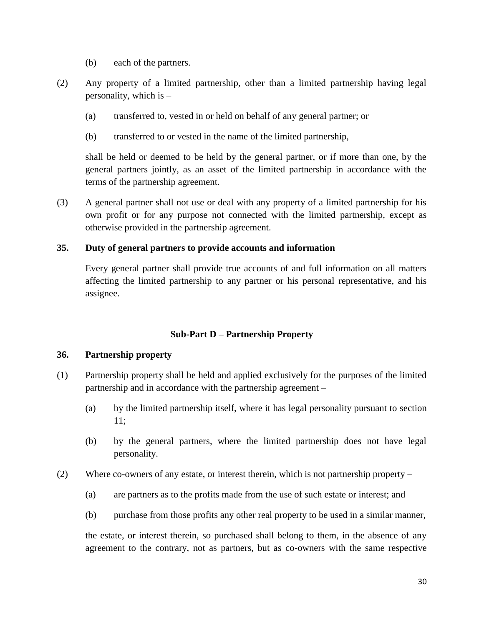- (b) each of the partners.
- (2) Any property of a limited partnership, other than a limited partnership having legal personality, which is –
	- (a) transferred to, vested in or held on behalf of any general partner; or
	- (b) transferred to or vested in the name of the limited partnership,

shall be held or deemed to be held by the general partner, or if more than one, by the general partners jointly, as an asset of the limited partnership in accordance with the terms of the partnership agreement.

(3) A general partner shall not use or deal with any property of a limited partnership for his own profit or for any purpose not connected with the limited partnership, except as otherwise provided in the partnership agreement.

## **35. Duty of general partners to provide accounts and information**

Every general partner shall provide true accounts of and full information on all matters affecting the limited partnership to any partner or his personal representative, and his assignee.

## **Sub-Part D – Partnership Property**

#### **36. Partnership property**

- (1) Partnership property shall be held and applied exclusively for the purposes of the limited partnership and in accordance with the partnership agreement –
	- (a) by the limited partnership itself, where it has legal personality pursuant to section 11;
	- (b) by the general partners, where the limited partnership does not have legal personality.
- (2) Where co-owners of any estate, or interest therein, which is not partnership property
	- (a) are partners as to the profits made from the use of such estate or interest; and
	- (b) purchase from those profits any other real property to be used in a similar manner,

the estate, or interest therein, so purchased shall belong to them, in the absence of any agreement to the contrary, not as partners, but as co-owners with the same respective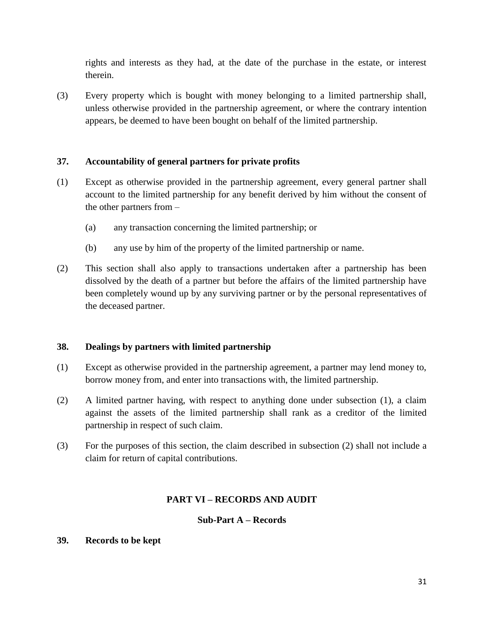rights and interests as they had, at the date of the purchase in the estate, or interest therein.

(3) Every property which is bought with money belonging to a limited partnership shall, unless otherwise provided in the partnership agreement, or where the contrary intention appears, be deemed to have been bought on behalf of the limited partnership.

## **37. Accountability of general partners for private profits**

- (1) Except as otherwise provided in the partnership agreement, every general partner shall account to the limited partnership for any benefit derived by him without the consent of the other partners from –
	- (a) any transaction concerning the limited partnership; or
	- (b) any use by him of the property of the limited partnership or name.
- (2) This section shall also apply to transactions undertaken after a partnership has been dissolved by the death of a partner but before the affairs of the limited partnership have been completely wound up by any surviving partner or by the personal representatives of the deceased partner.

## **38. Dealings by partners with limited partnership**

- (1) Except as otherwise provided in the partnership agreement, a partner may lend money to, borrow money from, and enter into transactions with, the limited partnership.
- (2) A limited partner having, with respect to anything done under subsection (1), a claim against the assets of the limited partnership shall rank as a creditor of the limited partnership in respect of such claim.
- (3) For the purposes of this section, the claim described in subsection (2) shall not include a claim for return of capital contributions.

## **PART VI – RECORDS AND AUDIT**

## **Sub-Part A – Records**

## **39. Records to be kept**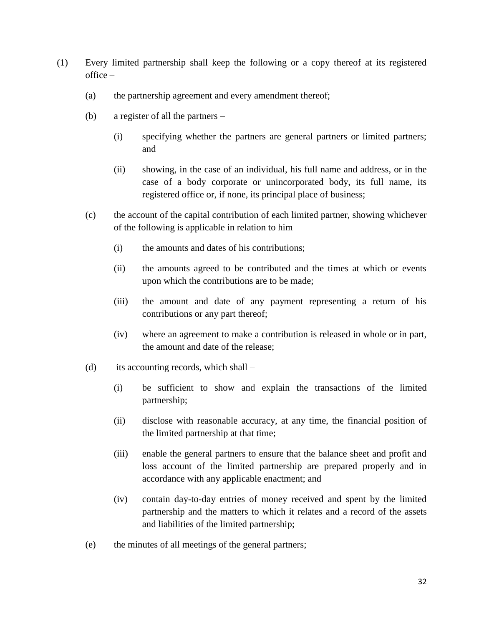- (1) Every limited partnership shall keep the following or a copy thereof at its registered office –
	- (a) the partnership agreement and every amendment thereof;
	- (b) a register of all the partners
		- (i) specifying whether the partners are general partners or limited partners; and
		- (ii) showing, in the case of an individual, his full name and address, or in the case of a body corporate or unincorporated body, its full name, its registered office or, if none, its principal place of business;
	- (c) the account of the capital contribution of each limited partner, showing whichever of the following is applicable in relation to him –
		- (i) the amounts and dates of his contributions;
		- (ii) the amounts agreed to be contributed and the times at which or events upon which the contributions are to be made;
		- (iii) the amount and date of any payment representing a return of his contributions or any part thereof;
		- (iv) where an agreement to make a contribution is released in whole or in part, the amount and date of the release;
	- (d) its accounting records, which shall
		- (i) be sufficient to show and explain the transactions of the limited partnership;
		- (ii) disclose with reasonable accuracy, at any time, the financial position of the limited partnership at that time;
		- (iii) enable the general partners to ensure that the balance sheet and profit and loss account of the limited partnership are prepared properly and in accordance with any applicable enactment; and
		- (iv) contain day-to-day entries of money received and spent by the limited partnership and the matters to which it relates and a record of the assets and liabilities of the limited partnership;
	- (e) the minutes of all meetings of the general partners;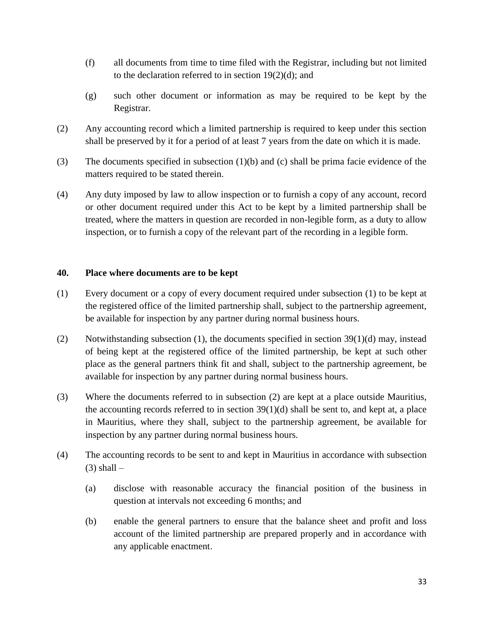- (f) all documents from time to time filed with the Registrar, including but not limited to the declaration referred to in section 19(2)(d); and
- (g) such other document or information as may be required to be kept by the Registrar.
- (2) Any accounting record which a limited partnership is required to keep under this section shall be preserved by it for a period of at least 7 years from the date on which it is made.
- (3) The documents specified in subsection  $(1)(b)$  and (c) shall be prima facie evidence of the matters required to be stated therein.
- (4) Any duty imposed by law to allow inspection or to furnish a copy of any account, record or other document required under this Act to be kept by a limited partnership shall be treated, where the matters in question are recorded in non-legible form, as a duty to allow inspection, or to furnish a copy of the relevant part of the recording in a legible form.

#### **40. Place where documents are to be kept**

- (1) Every document or a copy of every document required under subsection (1) to be kept at the registered office of the limited partnership shall, subject to the partnership agreement, be available for inspection by any partner during normal business hours.
- (2) Notwithstanding subsection (1), the documents specified in section 39(1)(d) may, instead of being kept at the registered office of the limited partnership, be kept at such other place as the general partners think fit and shall, subject to the partnership agreement, be available for inspection by any partner during normal business hours.
- (3) Where the documents referred to in subsection (2) are kept at a place outside Mauritius, the accounting records referred to in section  $39(1)(d)$  shall be sent to, and kept at, a place in Mauritius, where they shall, subject to the partnership agreement, be available for inspection by any partner during normal business hours.
- (4) The accounting records to be sent to and kept in Mauritius in accordance with subsection  $(3)$  shall  $-$ 
	- (a) disclose with reasonable accuracy the financial position of the business in question at intervals not exceeding 6 months; and
	- (b) enable the general partners to ensure that the balance sheet and profit and loss account of the limited partnership are prepared properly and in accordance with any applicable enactment.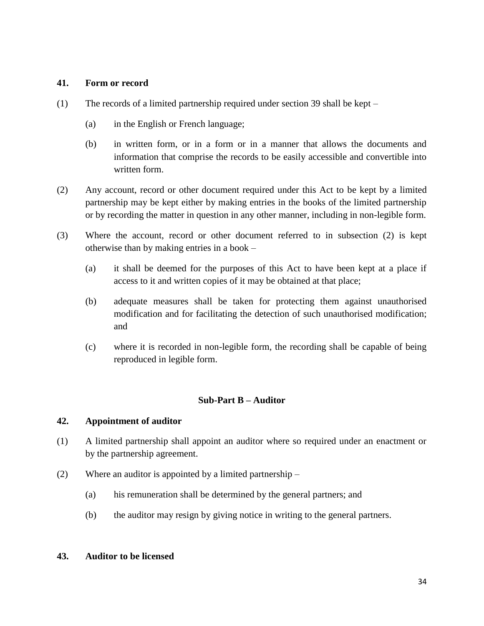#### **41. Form or record**

- (1) The records of a limited partnership required under section 39 shall be kept
	- (a) in the English or French language;
	- (b) in written form, or in a form or in a manner that allows the documents and information that comprise the records to be easily accessible and convertible into written form.
- (2) Any account, record or other document required under this Act to be kept by a limited partnership may be kept either by making entries in the books of the limited partnership or by recording the matter in question in any other manner, including in non-legible form.
- (3) Where the account, record or other document referred to in subsection (2) is kept otherwise than by making entries in a book –
	- (a) it shall be deemed for the purposes of this Act to have been kept at a place if access to it and written copies of it may be obtained at that place;
	- (b) adequate measures shall be taken for protecting them against unauthorised modification and for facilitating the detection of such unauthorised modification; and
	- (c) where it is recorded in non-legible form, the recording shall be capable of being reproduced in legible form.

#### **Sub-Part B – Auditor**

#### **42. Appointment of auditor**

- (1) A limited partnership shall appoint an auditor where so required under an enactment or by the partnership agreement.
- (2) Where an auditor is appointed by a limited partnership
	- (a) his remuneration shall be determined by the general partners; and
	- (b) the auditor may resign by giving notice in writing to the general partners.

### **43. Auditor to be licensed**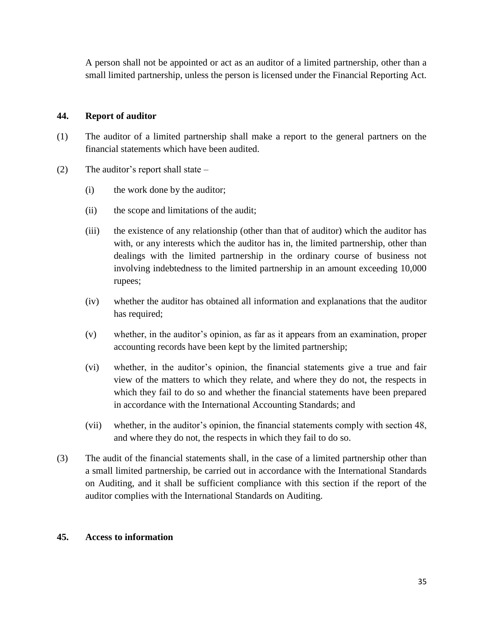A person shall not be appointed or act as an auditor of a limited partnership, other than a small limited partnership, unless the person is licensed under the Financial Reporting Act.

## **44. Report of auditor**

- (1) The auditor of a limited partnership shall make a report to the general partners on the financial statements which have been audited.
- (2) The auditor's report shall state
	- (i) the work done by the auditor;
	- (ii) the scope and limitations of the audit;
	- (iii) the existence of any relationship (other than that of auditor) which the auditor has with, or any interests which the auditor has in, the limited partnership, other than dealings with the limited partnership in the ordinary course of business not involving indebtedness to the limited partnership in an amount exceeding 10,000 rupees;
	- (iv) whether the auditor has obtained all information and explanations that the auditor has required;
	- (v) whether, in the auditor's opinion, as far as it appears from an examination, proper accounting records have been kept by the limited partnership;
	- (vi) whether, in the auditor's opinion, the financial statements give a true and fair view of the matters to which they relate, and where they do not, the respects in which they fail to do so and whether the financial statements have been prepared in accordance with the International Accounting Standards; and
	- (vii) whether, in the auditor's opinion, the financial statements comply with section 48, and where they do not, the respects in which they fail to do so.
- (3) The audit of the financial statements shall, in the case of a limited partnership other than a small limited partnership, be carried out in accordance with the International Standards on Auditing, and it shall be sufficient compliance with this section if the report of the auditor complies with the International Standards on Auditing.

#### **45. Access to information**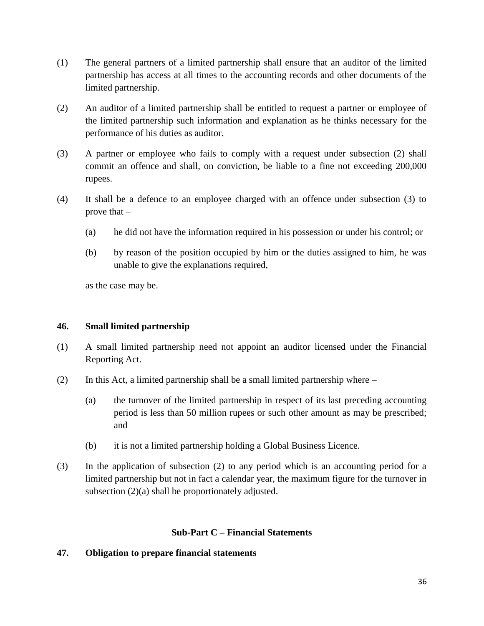- (1) The general partners of a limited partnership shall ensure that an auditor of the limited partnership has access at all times to the accounting records and other documents of the limited partnership.
- (2) An auditor of a limited partnership shall be entitled to request a partner or employee of the limited partnership such information and explanation as he thinks necessary for the performance of his duties as auditor.
- (3) A partner or employee who fails to comply with a request under subsection (2) shall commit an offence and shall, on conviction, be liable to a fine not exceeding 200,000 rupees.
- (4) It shall be a defence to an employee charged with an offence under subsection (3) to prove that –
	- (a) he did not have the information required in his possession or under his control; or
	- (b) by reason of the position occupied by him or the duties assigned to him, he was unable to give the explanations required,

as the case may be.

## **46. Small limited partnership**

- (1) A small limited partnership need not appoint an auditor licensed under the Financial Reporting Act.
- (2) In this Act, a limited partnership shall be a small limited partnership where
	- (a) the turnover of the limited partnership in respect of its last preceding accounting period is less than 50 million rupees or such other amount as may be prescribed; and
	- (b) it is not a limited partnership holding a Global Business Licence.
- (3) In the application of subsection (2) to any period which is an accounting period for a limited partnership but not in fact a calendar year, the maximum figure for the turnover in subsection (2)(a) shall be proportionately adjusted.

#### **Sub-Part C – Financial Statements**

#### **47. Obligation to prepare financial statements**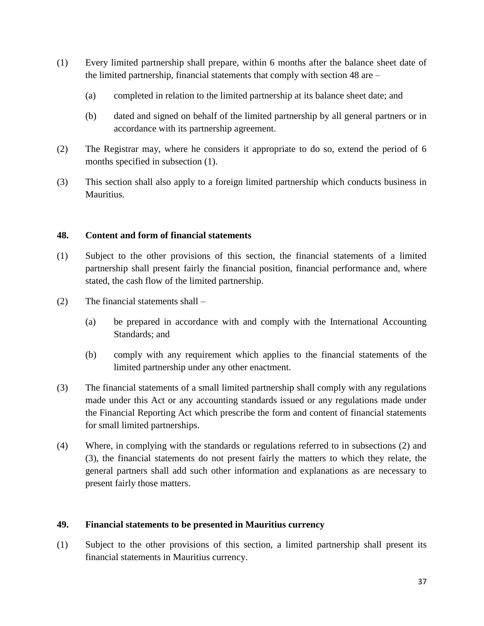- (1) Every limited partnership shall prepare, within 6 months after the balance sheet date of the limited partnership, financial statements that comply with section 48 are –
	- (a) completed in relation to the limited partnership at its balance sheet date; and
	- (b) dated and signed on behalf of the limited partnership by all general partners or in accordance with its partnership agreement.
- (2) The Registrar may, where he considers it appropriate to do so, extend the period of 6 months specified in subsection (1).
- (3) This section shall also apply to a foreign limited partnership which conducts business in Mauritius.

## **48. Content and form of financial statements**

- (1) Subject to the other provisions of this section, the financial statements of a limited partnership shall present fairly the financial position, financial performance and, where stated, the cash flow of the limited partnership.
- (2) The financial statements shall
	- (a) be prepared in accordance with and comply with the International Accounting Standards; and
	- (b) comply with any requirement which applies to the financial statements of the limited partnership under any other enactment.
- (3) The financial statements of a small limited partnership shall comply with any regulations made under this Act or any accounting standards issued or any regulations made under the Financial Reporting Act which prescribe the form and content of financial statements for small limited partnerships.
- (4) Where, in complying with the standards or regulations referred to in subsections (2) and (3), the financial statements do not present fairly the matters to which they relate, the general partners shall add such other information and explanations as are necessary to present fairly those matters.

## **49. Financial statements to be presented in Mauritius currency**

(1) Subject to the other provisions of this section, a limited partnership shall present its financial statements in Mauritius currency.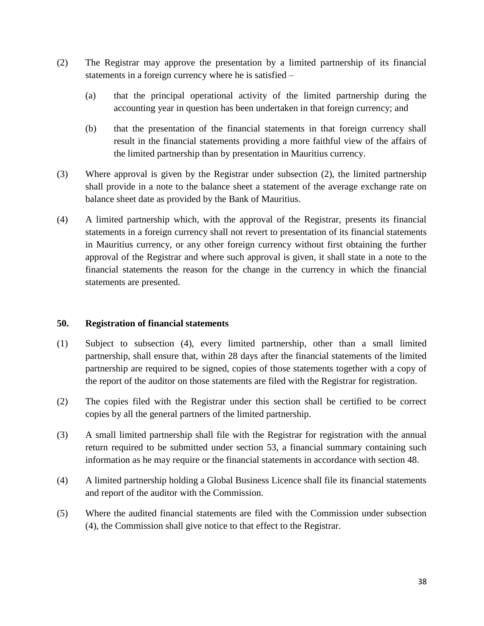- (2) The Registrar may approve the presentation by a limited partnership of its financial statements in a foreign currency where he is satisfied –
	- (a) that the principal operational activity of the limited partnership during the accounting year in question has been undertaken in that foreign currency; and
	- (b) that the presentation of the financial statements in that foreign currency shall result in the financial statements providing a more faithful view of the affairs of the limited partnership than by presentation in Mauritius currency.
- (3) Where approval is given by the Registrar under subsection (2), the limited partnership shall provide in a note to the balance sheet a statement of the average exchange rate on balance sheet date as provided by the Bank of Mauritius.
- (4) A limited partnership which, with the approval of the Registrar, presents its financial statements in a foreign currency shall not revert to presentation of its financial statements in Mauritius currency, or any other foreign currency without first obtaining the further approval of the Registrar and where such approval is given, it shall state in a note to the financial statements the reason for the change in the currency in which the financial statements are presented.

#### **50. Registration of financial statements**

- (1) Subject to subsection (4), every limited partnership, other than a small limited partnership, shall ensure that, within 28 days after the financial statements of the limited partnership are required to be signed, copies of those statements together with a copy of the report of the auditor on those statements are filed with the Registrar for registration.
- (2) The copies filed with the Registrar under this section shall be certified to be correct copies by all the general partners of the limited partnership.
- (3) A small limited partnership shall file with the Registrar for registration with the annual return required to be submitted under section 53, a financial summary containing such information as he may require or the financial statements in accordance with section 48.
- (4) A limited partnership holding a Global Business Licence shall file its financial statements and report of the auditor with the Commission.
- (5) Where the audited financial statements are filed with the Commission under subsection (4), the Commission shall give notice to that effect to the Registrar.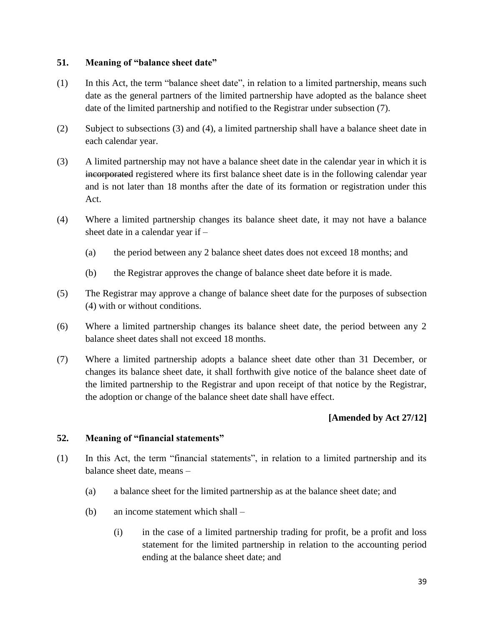## **51. Meaning of "balance sheet date"**

- (1) In this Act, the term "balance sheet date", in relation to a limited partnership, means such date as the general partners of the limited partnership have adopted as the balance sheet date of the limited partnership and notified to the Registrar under subsection (7).
- (2) Subject to subsections (3) and (4), a limited partnership shall have a balance sheet date in each calendar year.
- (3) A limited partnership may not have a balance sheet date in the calendar year in which it is incorporated registered where its first balance sheet date is in the following calendar year and is not later than 18 months after the date of its formation or registration under this Act.
- (4) Where a limited partnership changes its balance sheet date, it may not have a balance sheet date in a calendar year if –
	- (a) the period between any 2 balance sheet dates does not exceed 18 months; and
	- (b) the Registrar approves the change of balance sheet date before it is made.
- (5) The Registrar may approve a change of balance sheet date for the purposes of subsection (4) with or without conditions.
- (6) Where a limited partnership changes its balance sheet date, the period between any 2 balance sheet dates shall not exceed 18 months.
- (7) Where a limited partnership adopts a balance sheet date other than 31 December, or changes its balance sheet date, it shall forthwith give notice of the balance sheet date of the limited partnership to the Registrar and upon receipt of that notice by the Registrar, the adoption or change of the balance sheet date shall have effect.

## **[Amended by Act 27/12]**

#### **52. Meaning of "financial statements"**

- (1) In this Act, the term "financial statements", in relation to a limited partnership and its balance sheet date, means –
	- (a) a balance sheet for the limited partnership as at the balance sheet date; and
	- (b) an income statement which shall
		- (i) in the case of a limited partnership trading for profit, be a profit and loss statement for the limited partnership in relation to the accounting period ending at the balance sheet date; and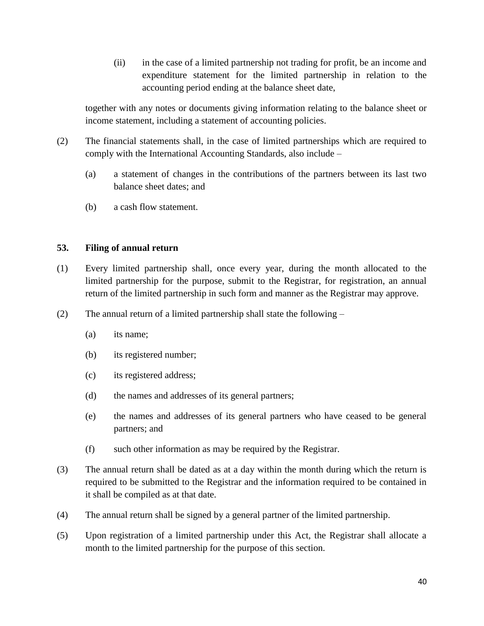(ii) in the case of a limited partnership not trading for profit, be an income and expenditure statement for the limited partnership in relation to the accounting period ending at the balance sheet date,

together with any notes or documents giving information relating to the balance sheet or income statement, including a statement of accounting policies.

- (2) The financial statements shall, in the case of limited partnerships which are required to comply with the International Accounting Standards, also include –
	- (a) a statement of changes in the contributions of the partners between its last two balance sheet dates; and
	- (b) a cash flow statement.

## **53. Filing of annual return**

- (1) Every limited partnership shall, once every year, during the month allocated to the limited partnership for the purpose, submit to the Registrar, for registration, an annual return of the limited partnership in such form and manner as the Registrar may approve.
- (2) The annual return of a limited partnership shall state the following
	- (a) its name;
	- (b) its registered number;
	- (c) its registered address;
	- (d) the names and addresses of its general partners;
	- (e) the names and addresses of its general partners who have ceased to be general partners; and
	- (f) such other information as may be required by the Registrar.
- (3) The annual return shall be dated as at a day within the month during which the return is required to be submitted to the Registrar and the information required to be contained in it shall be compiled as at that date.
- (4) The annual return shall be signed by a general partner of the limited partnership.
- (5) Upon registration of a limited partnership under this Act, the Registrar shall allocate a month to the limited partnership for the purpose of this section.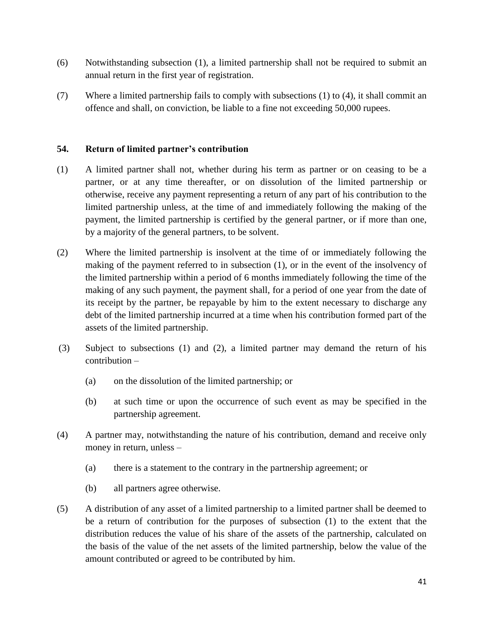- (6) Notwithstanding subsection (1), a limited partnership shall not be required to submit an annual return in the first year of registration.
- (7) Where a limited partnership fails to comply with subsections (1) to (4), it shall commit an offence and shall, on conviction, be liable to a fine not exceeding 50,000 rupees.

## **54. Return of limited partner's contribution**

- (1) A limited partner shall not, whether during his term as partner or on ceasing to be a partner, or at any time thereafter, or on dissolution of the limited partnership or otherwise, receive any payment representing a return of any part of his contribution to the limited partnership unless, at the time of and immediately following the making of the payment, the limited partnership is certified by the general partner, or if more than one, by a majority of the general partners, to be solvent.
- (2) Where the limited partnership is insolvent at the time of or immediately following the making of the payment referred to in subsection (1), or in the event of the insolvency of the limited partnership within a period of 6 months immediately following the time of the making of any such payment, the payment shall, for a period of one year from the date of its receipt by the partner, be repayable by him to the extent necessary to discharge any debt of the limited partnership incurred at a time when his contribution formed part of the assets of the limited partnership.
- (3) Subject to subsections (1) and (2), a limited partner may demand the return of his contribution –
	- (a) on the dissolution of the limited partnership; or
	- (b) at such time or upon the occurrence of such event as may be specified in the partnership agreement.
- (4) A partner may, notwithstanding the nature of his contribution, demand and receive only money in return, unless –
	- (a) there is a statement to the contrary in the partnership agreement; or
	- (b) all partners agree otherwise.
- (5) A distribution of any asset of a limited partnership to a limited partner shall be deemed to be a return of contribution for the purposes of subsection (1) to the extent that the distribution reduces the value of his share of the assets of the partnership, calculated on the basis of the value of the net assets of the limited partnership, below the value of the amount contributed or agreed to be contributed by him.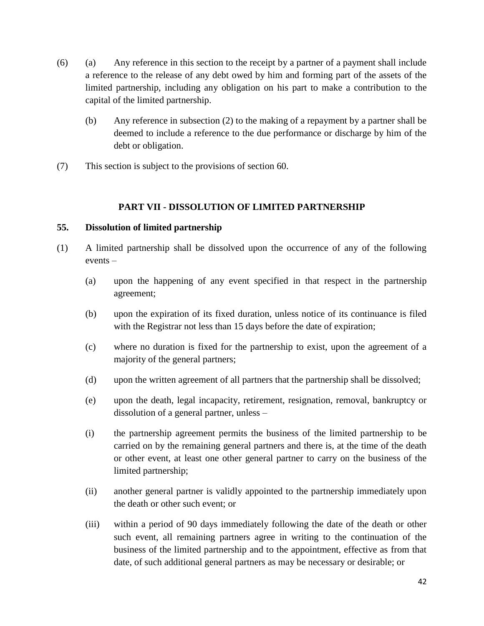- (6) (a) Any reference in this section to the receipt by a partner of a payment shall include a reference to the release of any debt owed by him and forming part of the assets of the limited partnership, including any obligation on his part to make a contribution to the capital of the limited partnership.
	- (b) Any reference in subsection (2) to the making of a repayment by a partner shall be deemed to include a reference to the due performance or discharge by him of the debt or obligation.
- (7) This section is subject to the provisions of section 60.

## **PART VII - DISSOLUTION OF LIMITED PARTNERSHIP**

#### **55. Dissolution of limited partnership**

- (1) A limited partnership shall be dissolved upon the occurrence of any of the following events –
	- (a) upon the happening of any event specified in that respect in the partnership agreement;
	- (b) upon the expiration of its fixed duration, unless notice of its continuance is filed with the Registrar not less than 15 days before the date of expiration;
	- (c) where no duration is fixed for the partnership to exist, upon the agreement of a majority of the general partners;
	- (d) upon the written agreement of all partners that the partnership shall be dissolved;
	- (e) upon the death, legal incapacity, retirement, resignation, removal, bankruptcy or dissolution of a general partner, unless –
	- (i) the partnership agreement permits the business of the limited partnership to be carried on by the remaining general partners and there is, at the time of the death or other event, at least one other general partner to carry on the business of the limited partnership;
	- (ii) another general partner is validly appointed to the partnership immediately upon the death or other such event; or
	- (iii) within a period of 90 days immediately following the date of the death or other such event, all remaining partners agree in writing to the continuation of the business of the limited partnership and to the appointment, effective as from that date, of such additional general partners as may be necessary or desirable; or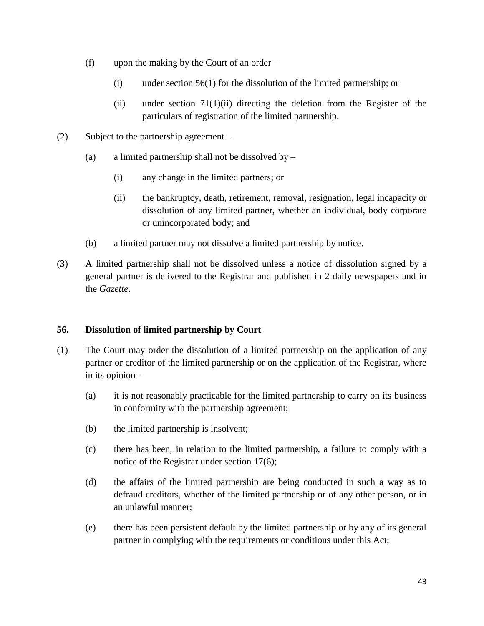- (f) upon the making by the Court of an order
	- (i) under section 56(1) for the dissolution of the limited partnership; or
	- (ii) under section  $71(1)(ii)$  directing the deletion from the Register of the particulars of registration of the limited partnership.
- (2) Subject to the partnership agreement
	- (a) a limited partnership shall not be dissolved by  $-$ 
		- (i) any change in the limited partners; or
		- (ii) the bankruptcy, death, retirement, removal, resignation, legal incapacity or dissolution of any limited partner, whether an individual, body corporate or unincorporated body; and
	- (b) a limited partner may not dissolve a limited partnership by notice.
- (3) A limited partnership shall not be dissolved unless a notice of dissolution signed by a general partner is delivered to the Registrar and published in 2 daily newspapers and in the *Gazette*.

## **56. Dissolution of limited partnership by Court**

- (1) The Court may order the dissolution of a limited partnership on the application of any partner or creditor of the limited partnership or on the application of the Registrar, where in its opinion –
	- (a) it is not reasonably practicable for the limited partnership to carry on its business in conformity with the partnership agreement;
	- (b) the limited partnership is insolvent;
	- (c) there has been, in relation to the limited partnership, a failure to comply with a notice of the Registrar under section 17(6);
	- (d) the affairs of the limited partnership are being conducted in such a way as to defraud creditors, whether of the limited partnership or of any other person, or in an unlawful manner;
	- (e) there has been persistent default by the limited partnership or by any of its general partner in complying with the requirements or conditions under this Act;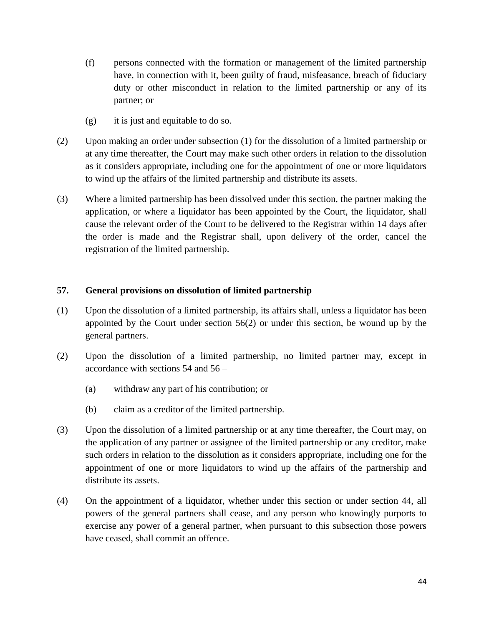- (f) persons connected with the formation or management of the limited partnership have, in connection with it, been guilty of fraud, misfeasance, breach of fiduciary duty or other misconduct in relation to the limited partnership or any of its partner; or
- (g) it is just and equitable to do so.
- (2) Upon making an order under subsection (1) for the dissolution of a limited partnership or at any time thereafter, the Court may make such other orders in relation to the dissolution as it considers appropriate, including one for the appointment of one or more liquidators to wind up the affairs of the limited partnership and distribute its assets.
- (3) Where a limited partnership has been dissolved under this section, the partner making the application, or where a liquidator has been appointed by the Court, the liquidator, shall cause the relevant order of the Court to be delivered to the Registrar within 14 days after the order is made and the Registrar shall, upon delivery of the order, cancel the registration of the limited partnership.

#### **57. General provisions on dissolution of limited partnership**

- (1) Upon the dissolution of a limited partnership, its affairs shall, unless a liquidator has been appointed by the Court under section 56(2) or under this section, be wound up by the general partners.
- (2) Upon the dissolution of a limited partnership, no limited partner may, except in accordance with sections 54 and 56 –
	- (a) withdraw any part of his contribution; or
	- (b) claim as a creditor of the limited partnership.
- (3) Upon the dissolution of a limited partnership or at any time thereafter, the Court may, on the application of any partner or assignee of the limited partnership or any creditor, make such orders in relation to the dissolution as it considers appropriate, including one for the appointment of one or more liquidators to wind up the affairs of the partnership and distribute its assets.
- (4) On the appointment of a liquidator, whether under this section or under section 44, all powers of the general partners shall cease, and any person who knowingly purports to exercise any power of a general partner, when pursuant to this subsection those powers have ceased, shall commit an offence.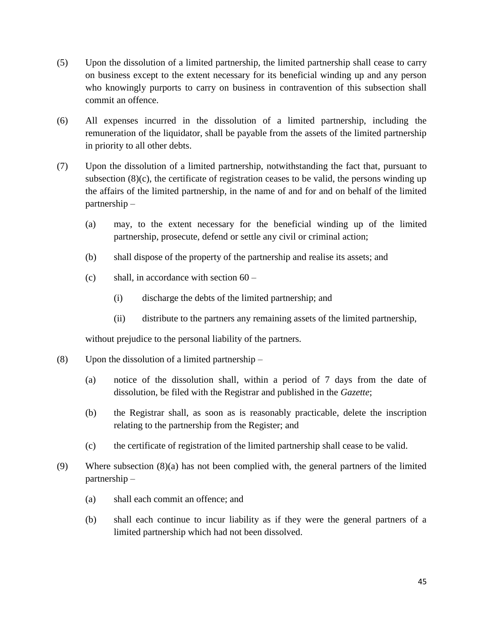- (5) Upon the dissolution of a limited partnership, the limited partnership shall cease to carry on business except to the extent necessary for its beneficial winding up and any person who knowingly purports to carry on business in contravention of this subsection shall commit an offence.
- (6) All expenses incurred in the dissolution of a limited partnership, including the remuneration of the liquidator, shall be payable from the assets of the limited partnership in priority to all other debts.
- (7) Upon the dissolution of a limited partnership, notwithstanding the fact that, pursuant to subsection (8)(c), the certificate of registration ceases to be valid, the persons winding up the affairs of the limited partnership, in the name of and for and on behalf of the limited partnership –
	- (a) may, to the extent necessary for the beneficial winding up of the limited partnership, prosecute, defend or settle any civil or criminal action;
	- (b) shall dispose of the property of the partnership and realise its assets; and
	- (c) shall, in accordance with section  $60 -$ 
		- (i) discharge the debts of the limited partnership; and
		- (ii) distribute to the partners any remaining assets of the limited partnership,

without prejudice to the personal liability of the partners.

- (8) Upon the dissolution of a limited partnership
	- (a) notice of the dissolution shall, within a period of 7 days from the date of dissolution, be filed with the Registrar and published in the *Gazette*;
	- (b) the Registrar shall, as soon as is reasonably practicable, delete the inscription relating to the partnership from the Register; and
	- (c) the certificate of registration of the limited partnership shall cease to be valid.
- (9) Where subsection (8)(a) has not been complied with, the general partners of the limited partnership –
	- (a) shall each commit an offence; and
	- (b) shall each continue to incur liability as if they were the general partners of a limited partnership which had not been dissolved.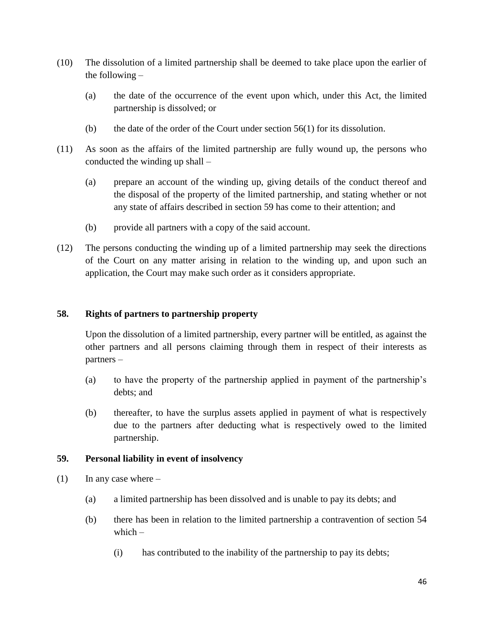- (10) The dissolution of a limited partnership shall be deemed to take place upon the earlier of the following –
	- (a) the date of the occurrence of the event upon which, under this Act, the limited partnership is dissolved; or
	- (b) the date of the order of the Court under section  $56(1)$  for its dissolution.
- (11) As soon as the affairs of the limited partnership are fully wound up, the persons who conducted the winding up shall –
	- (a) prepare an account of the winding up, giving details of the conduct thereof and the disposal of the property of the limited partnership, and stating whether or not any state of affairs described in section 59 has come to their attention; and
	- (b) provide all partners with a copy of the said account.
- (12) The persons conducting the winding up of a limited partnership may seek the directions of the Court on any matter arising in relation to the winding up, and upon such an application, the Court may make such order as it considers appropriate.

#### **58. Rights of partners to partnership property**

Upon the dissolution of a limited partnership, every partner will be entitled, as against the other partners and all persons claiming through them in respect of their interests as partners –

- (a) to have the property of the partnership applied in payment of the partnership's debts; and
- (b) thereafter, to have the surplus assets applied in payment of what is respectively due to the partners after deducting what is respectively owed to the limited partnership.

#### **59. Personal liability in event of insolvency**

- $(1)$  In any case where
	- (a) a limited partnership has been dissolved and is unable to pay its debts; and
	- (b) there has been in relation to the limited partnership a contravention of section 54 which –
		- (i) has contributed to the inability of the partnership to pay its debts;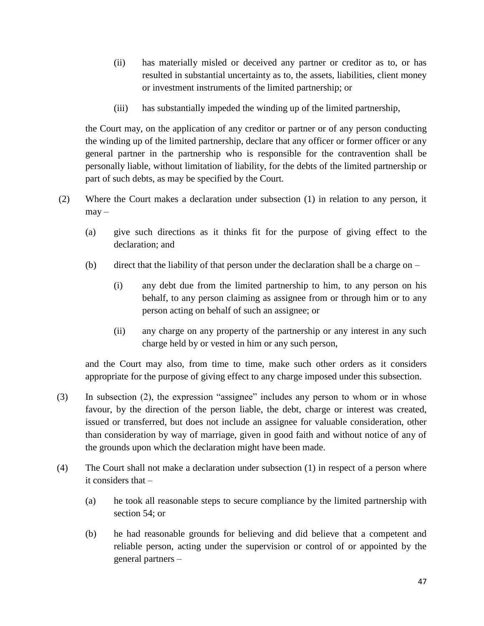- (ii) has materially misled or deceived any partner or creditor as to, or has resulted in substantial uncertainty as to, the assets, liabilities, client money or investment instruments of the limited partnership; or
- (iii) has substantially impeded the winding up of the limited partnership,

the Court may, on the application of any creditor or partner or of any person conducting the winding up of the limited partnership, declare that any officer or former officer or any general partner in the partnership who is responsible for the contravention shall be personally liable, without limitation of liability, for the debts of the limited partnership or part of such debts, as may be specified by the Court.

- (2) Where the Court makes a declaration under subsection (1) in relation to any person, it  $may -$ 
	- (a) give such directions as it thinks fit for the purpose of giving effect to the declaration; and
	- (b) direct that the liability of that person under the declaration shall be a charge on
		- (i) any debt due from the limited partnership to him, to any person on his behalf, to any person claiming as assignee from or through him or to any person acting on behalf of such an assignee; or
		- (ii) any charge on any property of the partnership or any interest in any such charge held by or vested in him or any such person,

and the Court may also, from time to time, make such other orders as it considers appropriate for the purpose of giving effect to any charge imposed under this subsection.

- (3) In subsection (2), the expression "assignee" includes any person to whom or in whose favour, by the direction of the person liable, the debt, charge or interest was created, issued or transferred, but does not include an assignee for valuable consideration, other than consideration by way of marriage, given in good faith and without notice of any of the grounds upon which the declaration might have been made.
- (4) The Court shall not make a declaration under subsection (1) in respect of a person where it considers that –
	- (a) he took all reasonable steps to secure compliance by the limited partnership with section 54; or
	- (b) he had reasonable grounds for believing and did believe that a competent and reliable person, acting under the supervision or control of or appointed by the general partners –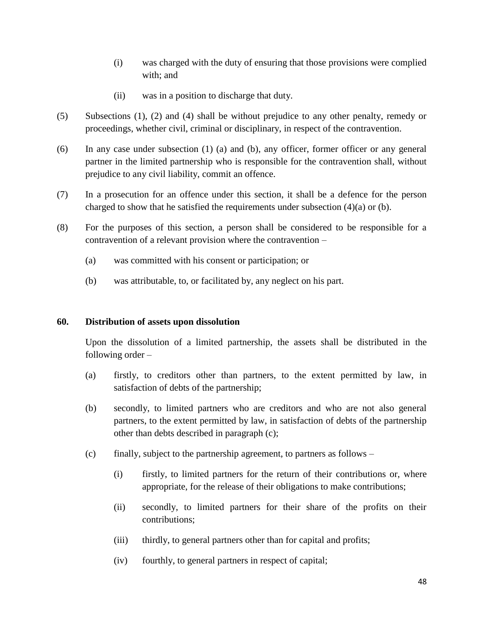- (i) was charged with the duty of ensuring that those provisions were complied with; and
- (ii) was in a position to discharge that duty.
- (5) Subsections (1), (2) and (4) shall be without prejudice to any other penalty, remedy or proceedings, whether civil, criminal or disciplinary, in respect of the contravention.
- (6) In any case under subsection (1) (a) and (b), any officer, former officer or any general partner in the limited partnership who is responsible for the contravention shall, without prejudice to any civil liability, commit an offence.
- (7) In a prosecution for an offence under this section, it shall be a defence for the person charged to show that he satisfied the requirements under subsection  $(4)(a)$  or  $(b)$ .
- (8) For the purposes of this section, a person shall be considered to be responsible for a contravention of a relevant provision where the contravention –
	- (a) was committed with his consent or participation; or
	- (b) was attributable, to, or facilitated by, any neglect on his part.

#### **60. Distribution of assets upon dissolution**

Upon the dissolution of a limited partnership, the assets shall be distributed in the following order –

- (a) firstly, to creditors other than partners, to the extent permitted by law, in satisfaction of debts of the partnership;
- (b) secondly, to limited partners who are creditors and who are not also general partners, to the extent permitted by law, in satisfaction of debts of the partnership other than debts described in paragraph (c);
- (c) finally, subject to the partnership agreement, to partners as follows
	- (i) firstly, to limited partners for the return of their contributions or, where appropriate, for the release of their obligations to make contributions;
	- (ii) secondly, to limited partners for their share of the profits on their contributions;
	- (iii) thirdly, to general partners other than for capital and profits;
	- (iv) fourthly, to general partners in respect of capital;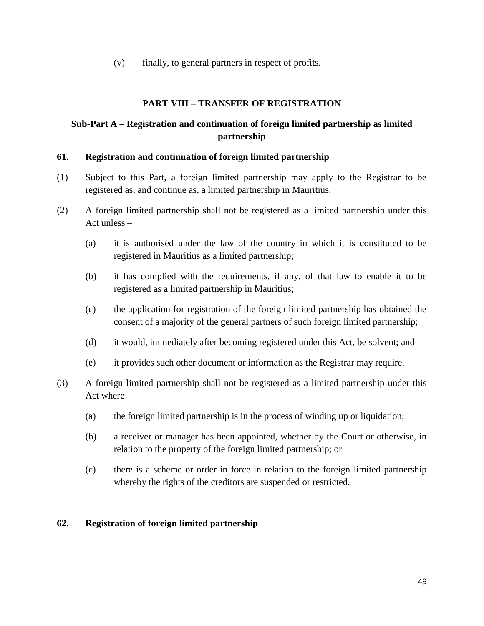(v) finally, to general partners in respect of profits.

## **PART VIII – TRANSFER OF REGISTRATION**

## **Sub-Part A – Registration and continuation of foreign limited partnership as limited partnership**

#### **61. Registration and continuation of foreign limited partnership**

- (1) Subject to this Part, a foreign limited partnership may apply to the Registrar to be registered as, and continue as, a limited partnership in Mauritius.
- (2) A foreign limited partnership shall not be registered as a limited partnership under this Act unless –
	- (a) it is authorised under the law of the country in which it is constituted to be registered in Mauritius as a limited partnership;
	- (b) it has complied with the requirements, if any, of that law to enable it to be registered as a limited partnership in Mauritius;
	- (c) the application for registration of the foreign limited partnership has obtained the consent of a majority of the general partners of such foreign limited partnership;
	- (d) it would, immediately after becoming registered under this Act, be solvent; and
	- (e) it provides such other document or information as the Registrar may require.
- (3) A foreign limited partnership shall not be registered as a limited partnership under this Act where –
	- (a) the foreign limited partnership is in the process of winding up or liquidation;
	- (b) a receiver or manager has been appointed, whether by the Court or otherwise, in relation to the property of the foreign limited partnership; or
	- (c) there is a scheme or order in force in relation to the foreign limited partnership whereby the rights of the creditors are suspended or restricted.

#### **62. Registration of foreign limited partnership**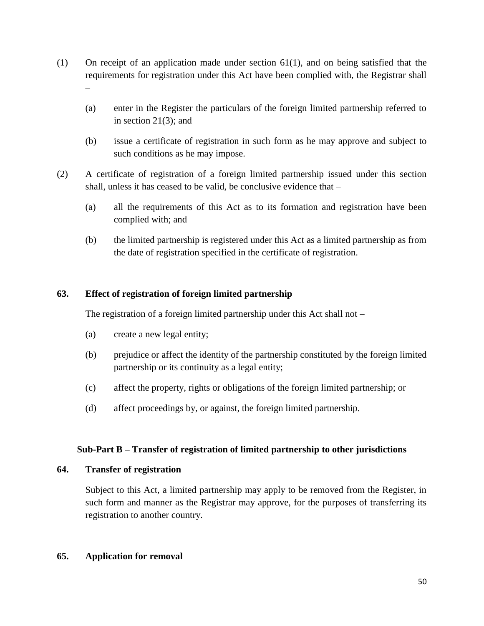- (1) On receipt of an application made under section 61(1), and on being satisfied that the requirements for registration under this Act have been complied with, the Registrar shall –
	- (a) enter in the Register the particulars of the foreign limited partnership referred to in section 21(3); and
	- (b) issue a certificate of registration in such form as he may approve and subject to such conditions as he may impose.
- (2) A certificate of registration of a foreign limited partnership issued under this section shall, unless it has ceased to be valid, be conclusive evidence that –
	- (a) all the requirements of this Act as to its formation and registration have been complied with; and
	- (b) the limited partnership is registered under this Act as a limited partnership as from the date of registration specified in the certificate of registration.

## **63. Effect of registration of foreign limited partnership**

The registration of a foreign limited partnership under this Act shall not –

- (a) create a new legal entity;
- (b) prejudice or affect the identity of the partnership constituted by the foreign limited partnership or its continuity as a legal entity;
- (c) affect the property, rights or obligations of the foreign limited partnership; or
- (d) affect proceedings by, or against, the foreign limited partnership.

#### **Sub-Part B – Transfer of registration of limited partnership to other jurisdictions**

#### **64. Transfer of registration**

Subject to this Act, a limited partnership may apply to be removed from the Register, in such form and manner as the Registrar may approve, for the purposes of transferring its registration to another country.

### **65. Application for removal**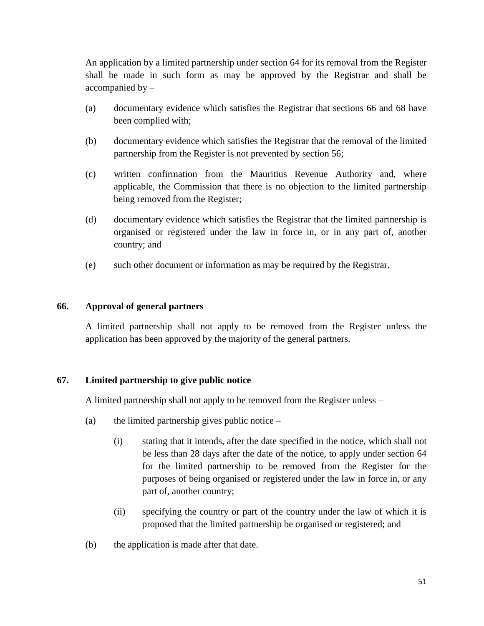An application by a limited partnership under section 64 for its removal from the Register shall be made in such form as may be approved by the Registrar and shall be accompanied by –

- (a) documentary evidence which satisfies the Registrar that sections 66 and 68 have been complied with;
- (b) documentary evidence which satisfies the Registrar that the removal of the limited partnership from the Register is not prevented by section 56;
- (c) written confirmation from the Mauritius Revenue Authority and, where applicable, the Commission that there is no objection to the limited partnership being removed from the Register;
- (d) documentary evidence which satisfies the Registrar that the limited partnership is organised or registered under the law in force in, or in any part of, another country; and
- (e) such other document or information as may be required by the Registrar.

## **66. Approval of general partners**

A limited partnership shall not apply to be removed from the Register unless the application has been approved by the majority of the general partners.

## **67. Limited partnership to give public notice**

A limited partnership shall not apply to be removed from the Register unless –

- (a) the limited partnership gives public notice
	- (i) stating that it intends, after the date specified in the notice, which shall not be less than 28 days after the date of the notice, to apply under section 64 for the limited partnership to be removed from the Register for the purposes of being organised or registered under the law in force in, or any part of, another country;
	- (ii) specifying the country or part of the country under the law of which it is proposed that the limited partnership be organised or registered; and
- (b) the application is made after that date.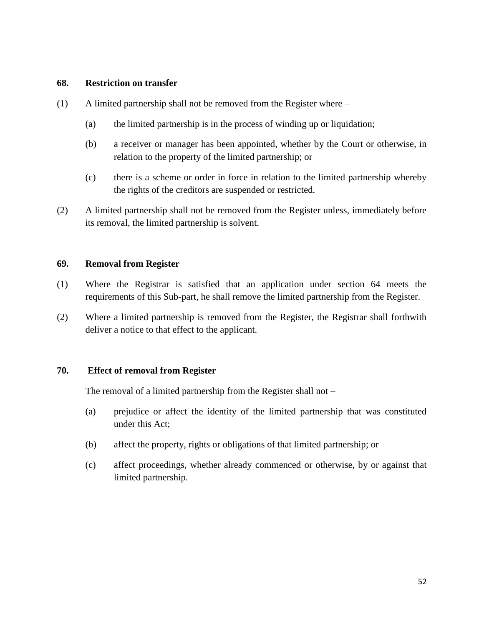#### **68. Restriction on transfer**

- (1) A limited partnership shall not be removed from the Register where
	- (a) the limited partnership is in the process of winding up or liquidation;
	- (b) a receiver or manager has been appointed, whether by the Court or otherwise, in relation to the property of the limited partnership; or
	- (c) there is a scheme or order in force in relation to the limited partnership whereby the rights of the creditors are suspended or restricted.
- (2) A limited partnership shall not be removed from the Register unless, immediately before its removal, the limited partnership is solvent.

#### **69. Removal from Register**

- (1) Where the Registrar is satisfied that an application under section 64 meets the requirements of this Sub-part, he shall remove the limited partnership from the Register.
- (2) Where a limited partnership is removed from the Register, the Registrar shall forthwith deliver a notice to that effect to the applicant.

#### **70. Effect of removal from Register**

The removal of a limited partnership from the Register shall not –

- (a) prejudice or affect the identity of the limited partnership that was constituted under this Act;
- (b) affect the property, rights or obligations of that limited partnership; or
- (c) affect proceedings, whether already commenced or otherwise, by or against that limited partnership.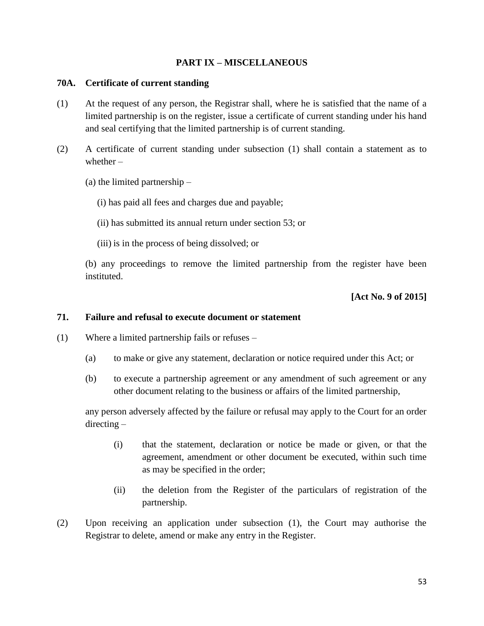#### **PART IX – MISCELLANEOUS**

#### **70A. Certificate of current standing**

- (1) At the request of any person, the Registrar shall, where he is satisfied that the name of a limited partnership is on the register, issue a certificate of current standing under his hand and seal certifying that the limited partnership is of current standing.
- (2) A certificate of current standing under subsection (1) shall contain a statement as to whether –
	- (a) the limited partnership
		- (i) has paid all fees and charges due and payable;
		- (ii) has submitted its annual return under section 53; or
		- (iii) is in the process of being dissolved; or

(b) any proceedings to remove the limited partnership from the register have been instituted.

#### **[Act No. 9 of 2015]**

#### **71. Failure and refusal to execute document or statement**

- (1) Where a limited partnership fails or refuses
	- (a) to make or give any statement, declaration or notice required under this Act; or
	- (b) to execute a partnership agreement or any amendment of such agreement or any other document relating to the business or affairs of the limited partnership,

any person adversely affected by the failure or refusal may apply to the Court for an order directing –

- (i) that the statement, declaration or notice be made or given, or that the agreement, amendment or other document be executed, within such time as may be specified in the order;
- (ii) the deletion from the Register of the particulars of registration of the partnership.
- (2) Upon receiving an application under subsection (1), the Court may authorise the Registrar to delete, amend or make any entry in the Register.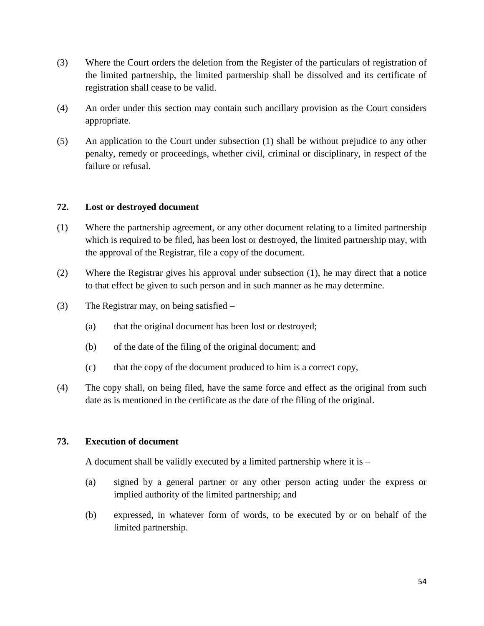- (3) Where the Court orders the deletion from the Register of the particulars of registration of the limited partnership, the limited partnership shall be dissolved and its certificate of registration shall cease to be valid.
- (4) An order under this section may contain such ancillary provision as the Court considers appropriate.
- (5) An application to the Court under subsection (1) shall be without prejudice to any other penalty, remedy or proceedings, whether civil, criminal or disciplinary, in respect of the failure or refusal.

## **72. Lost or destroyed document**

- (1) Where the partnership agreement, or any other document relating to a limited partnership which is required to be filed, has been lost or destroyed, the limited partnership may, with the approval of the Registrar, file a copy of the document.
- (2) Where the Registrar gives his approval under subsection (1), he may direct that a notice to that effect be given to such person and in such manner as he may determine.
- (3) The Registrar may, on being satisfied
	- (a) that the original document has been lost or destroyed;
	- (b) of the date of the filing of the original document; and
	- (c) that the copy of the document produced to him is a correct copy,
- (4) The copy shall, on being filed, have the same force and effect as the original from such date as is mentioned in the certificate as the date of the filing of the original.

#### **73. Execution of document**

A document shall be validly executed by a limited partnership where it is –

- (a) signed by a general partner or any other person acting under the express or implied authority of the limited partnership; and
- (b) expressed, in whatever form of words, to be executed by or on behalf of the limited partnership.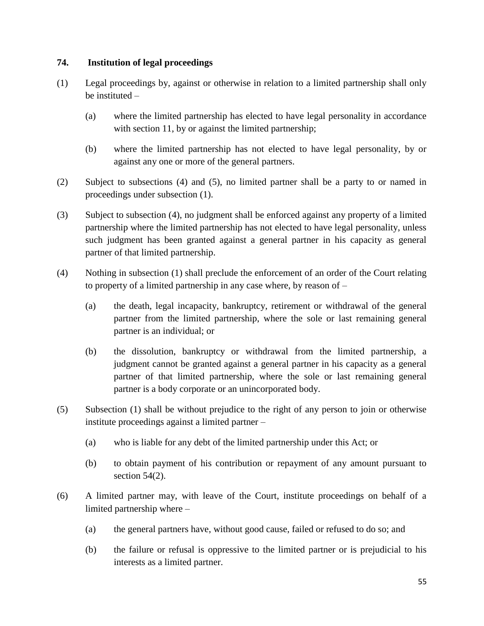## **74. Institution of legal proceedings**

- (1) Legal proceedings by, against or otherwise in relation to a limited partnership shall only be instituted –
	- (a) where the limited partnership has elected to have legal personality in accordance with section 11, by or against the limited partnership;
	- (b) where the limited partnership has not elected to have legal personality, by or against any one or more of the general partners.
- (2) Subject to subsections (4) and (5), no limited partner shall be a party to or named in proceedings under subsection (1).
- (3) Subject to subsection (4), no judgment shall be enforced against any property of a limited partnership where the limited partnership has not elected to have legal personality, unless such judgment has been granted against a general partner in his capacity as general partner of that limited partnership.
- (4) Nothing in subsection (1) shall preclude the enforcement of an order of the Court relating to property of a limited partnership in any case where, by reason of –
	- (a) the death, legal incapacity, bankruptcy, retirement or withdrawal of the general partner from the limited partnership, where the sole or last remaining general partner is an individual; or
	- (b) the dissolution, bankruptcy or withdrawal from the limited partnership, a judgment cannot be granted against a general partner in his capacity as a general partner of that limited partnership, where the sole or last remaining general partner is a body corporate or an unincorporated body.
- (5) Subsection (1) shall be without prejudice to the right of any person to join or otherwise institute proceedings against a limited partner –
	- (a) who is liable for any debt of the limited partnership under this Act; or
	- (b) to obtain payment of his contribution or repayment of any amount pursuant to section 54(2).
- (6) A limited partner may, with leave of the Court, institute proceedings on behalf of a limited partnership where –
	- (a) the general partners have, without good cause, failed or refused to do so; and
	- (b) the failure or refusal is oppressive to the limited partner or is prejudicial to his interests as a limited partner.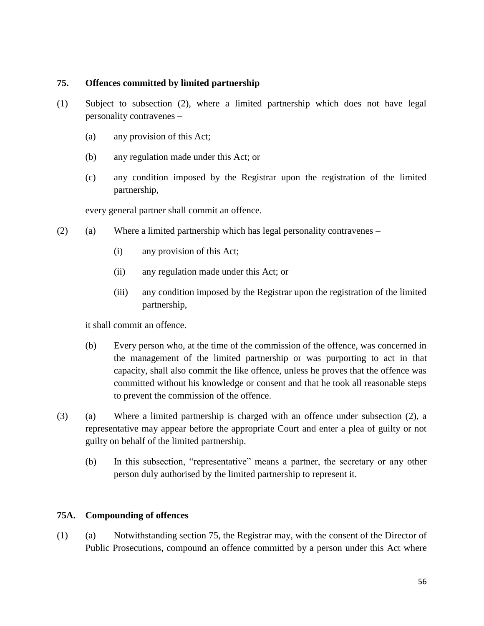#### **75. Offences committed by limited partnership**

- (1) Subject to subsection (2), where a limited partnership which does not have legal personality contravenes –
	- (a) any provision of this Act;
	- (b) any regulation made under this Act; or
	- (c) any condition imposed by the Registrar upon the registration of the limited partnership,

every general partner shall commit an offence.

- (2) (a) Where a limited partnership which has legal personality contravenes
	- (i) any provision of this Act;
	- (ii) any regulation made under this Act; or
	- (iii) any condition imposed by the Registrar upon the registration of the limited partnership,

it shall commit an offence.

- (b) Every person who, at the time of the commission of the offence, was concerned in the management of the limited partnership or was purporting to act in that capacity, shall also commit the like offence, unless he proves that the offence was committed without his knowledge or consent and that he took all reasonable steps to prevent the commission of the offence.
- (3) (a) Where a limited partnership is charged with an offence under subsection (2), a representative may appear before the appropriate Court and enter a plea of guilty or not guilty on behalf of the limited partnership.
	- (b) In this subsection, "representative" means a partner, the secretary or any other person duly authorised by the limited partnership to represent it.

#### **75A. Compounding of offences**

(1) (a) Notwithstanding section 75, the Registrar may, with the consent of the Director of Public Prosecutions, compound an offence committed by a person under this Act where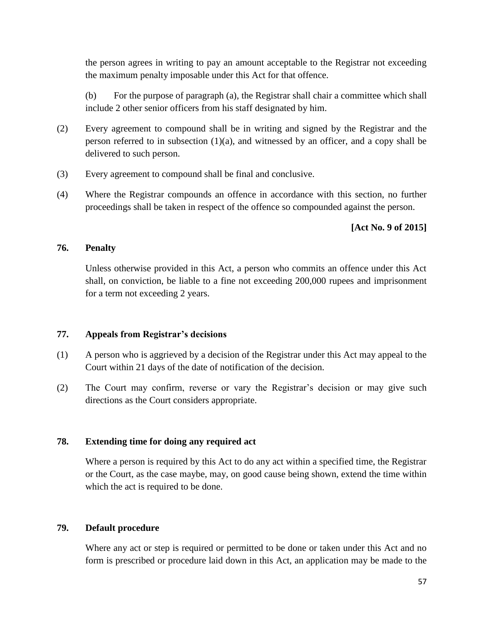the person agrees in writing to pay an amount acceptable to the Registrar not exceeding the maximum penalty imposable under this Act for that offence.

(b) For the purpose of paragraph (a), the Registrar shall chair a committee which shall include 2 other senior officers from his staff designated by him.

- (2) Every agreement to compound shall be in writing and signed by the Registrar and the person referred to in subsection (1)(a), and witnessed by an officer, and a copy shall be delivered to such person.
- (3) Every agreement to compound shall be final and conclusive.
- (4) Where the Registrar compounds an offence in accordance with this section, no further proceedings shall be taken in respect of the offence so compounded against the person.

## **[Act No. 9 of 2015]**

#### **76. Penalty**

Unless otherwise provided in this Act, a person who commits an offence under this Act shall, on conviction, be liable to a fine not exceeding 200,000 rupees and imprisonment for a term not exceeding 2 years.

#### **77. Appeals from Registrar's decisions**

- (1) A person who is aggrieved by a decision of the Registrar under this Act may appeal to the Court within 21 days of the date of notification of the decision.
- (2) The Court may confirm, reverse or vary the Registrar's decision or may give such directions as the Court considers appropriate.

## **78. Extending time for doing any required act**

Where a person is required by this Act to do any act within a specified time, the Registrar or the Court, as the case maybe, may, on good cause being shown, extend the time within which the act is required to be done.

## **79. Default procedure**

Where any act or step is required or permitted to be done or taken under this Act and no form is prescribed or procedure laid down in this Act, an application may be made to the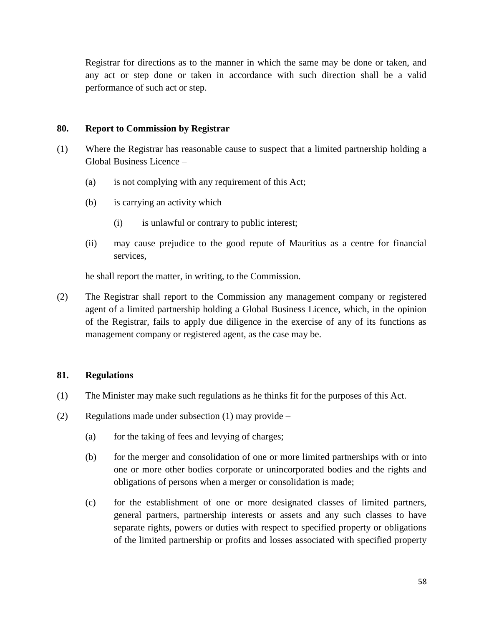Registrar for directions as to the manner in which the same may be done or taken, and any act or step done or taken in accordance with such direction shall be a valid performance of such act or step.

#### **80. Report to Commission by Registrar**

- (1) Where the Registrar has reasonable cause to suspect that a limited partnership holding a Global Business Licence –
	- (a) is not complying with any requirement of this Act;
	- (b) is carrying an activity which
		- (i) is unlawful or contrary to public interest;
	- (ii) may cause prejudice to the good repute of Mauritius as a centre for financial services,

he shall report the matter, in writing, to the Commission.

(2) The Registrar shall report to the Commission any management company or registered agent of a limited partnership holding a Global Business Licence, which, in the opinion of the Registrar, fails to apply due diligence in the exercise of any of its functions as management company or registered agent, as the case may be.

#### **81. Regulations**

- (1) The Minister may make such regulations as he thinks fit for the purposes of this Act.
- (2) Regulations made under subsection (1) may provide
	- (a) for the taking of fees and levying of charges;
	- (b) for the merger and consolidation of one or more limited partnerships with or into one or more other bodies corporate or unincorporated bodies and the rights and obligations of persons when a merger or consolidation is made;
	- (c) for the establishment of one or more designated classes of limited partners, general partners, partnership interests or assets and any such classes to have separate rights, powers or duties with respect to specified property or obligations of the limited partnership or profits and losses associated with specified property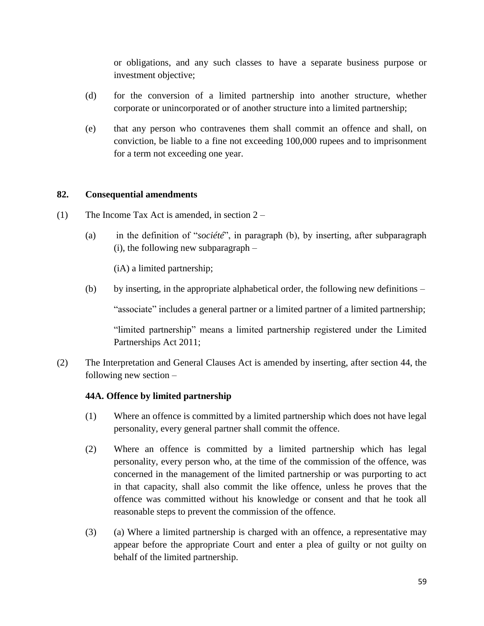or obligations, and any such classes to have a separate business purpose or investment objective;

- (d) for the conversion of a limited partnership into another structure, whether corporate or unincorporated or of another structure into a limited partnership;
- (e) that any person who contravenes them shall commit an offence and shall, on conviction, be liable to a fine not exceeding 100,000 rupees and to imprisonment for a term not exceeding one year.

#### **82. Consequential amendments**

- (1) The Income Tax Act is amended, in section 2
	- (a) in the definition of "*société*", in paragraph (b), by inserting, after subparagraph  $(i)$ , the following new subparagraph  $-$

(iA) a limited partnership;

(b) by inserting, in the appropriate alphabetical order, the following new definitions –

"associate" includes a general partner or a limited partner of a limited partnership;

"limited partnership" means a limited partnership registered under the Limited Partnerships Act 2011;

(2) The Interpretation and General Clauses Act is amended by inserting, after section 44, the following new section –

## **44A. Offence by limited partnership**

- (1) Where an offence is committed by a limited partnership which does not have legal personality, every general partner shall commit the offence.
- (2) Where an offence is committed by a limited partnership which has legal personality, every person who, at the time of the commission of the offence, was concerned in the management of the limited partnership or was purporting to act in that capacity, shall also commit the like offence, unless he proves that the offence was committed without his knowledge or consent and that he took all reasonable steps to prevent the commission of the offence.
- (3) (a) Where a limited partnership is charged with an offence, a representative may appear before the appropriate Court and enter a plea of guilty or not guilty on behalf of the limited partnership.